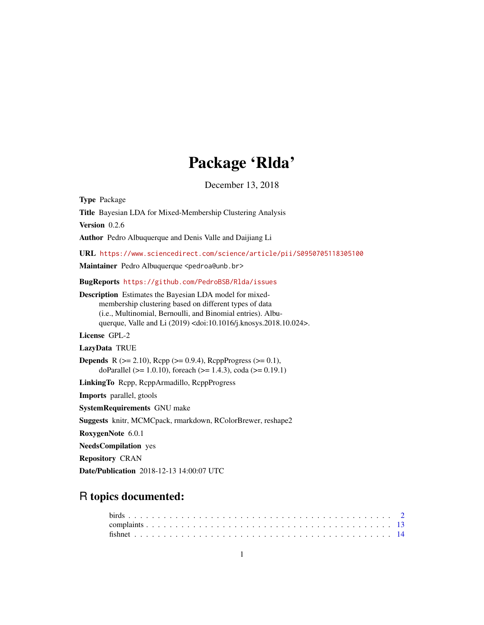# Package 'Rlda'

December 13, 2018

Type Package Title Bayesian LDA for Mixed-Membership Clustering Analysis Version 0.2.6 Author Pedro Albuquerque and Denis Valle and Daijiang Li URL <https://www.sciencedirect.com/science/article/pii/S0950705118305100> Maintainer Pedro Albuquerque <pedroa@unb.br> BugReports <https://github.com/PedroBSB/Rlda/issues> Description Estimates the Bayesian LDA model for mixedmembership clustering based on different types of data (i.e., Multinomial, Bernoulli, and Binomial entries). Albuquerque, Valle and Li (2019) <doi:10.1016/j.knosys.2018.10.024>. License GPL-2 LazyData TRUE **Depends** R ( $>= 2.10$ ), Rcpp ( $>= 0.9.4$ ), RcppProgress ( $>= 0.1$ ), doParallel ( $>= 1.0.10$ ), foreach ( $>= 1.4.3$ ), coda ( $>= 0.19.1$ ) LinkingTo Rcpp, RcppArmadillo, RcppProgress Imports parallel, gtools SystemRequirements GNU make Suggests knitr, MCMCpack, rmarkdown, RColorBrewer, reshape2 RoxygenNote 6.0.1 NeedsCompilation yes Repository CRAN Date/Publication 2018-12-13 14:00:07 UTC

# R topics documented: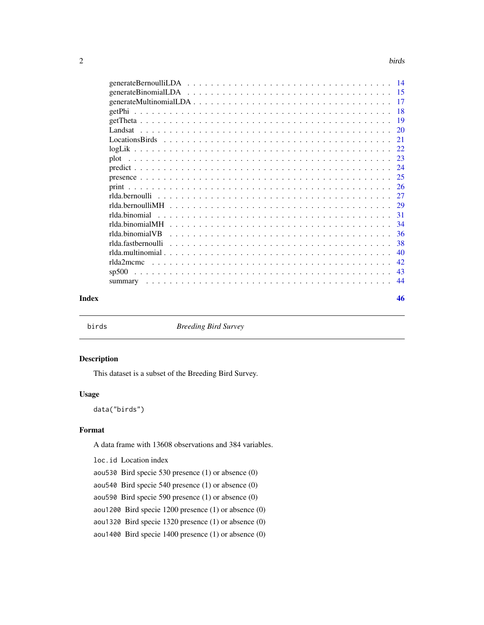<span id="page-1-0"></span>

| Index | 46 |
|-------|----|

birds *Breeding Bird Survey*

# Description

This dataset is a subset of the Breeding Bird Survey.

# Usage

data("birds")

# Format

A data frame with 13608 observations and 384 variables.

loc.id Location index

aou530 Bird specie 530 presence (1) or absence (0)

aou540 Bird specie 540 presence (1) or absence (0)

aou590 Bird specie 590 presence (1) or absence (0)

aou1200 Bird specie 1200 presence (1) or absence (0)

aou1320 Bird specie 1320 presence (1) or absence (0)

aou1400 Bird specie 1400 presence (1) or absence (0)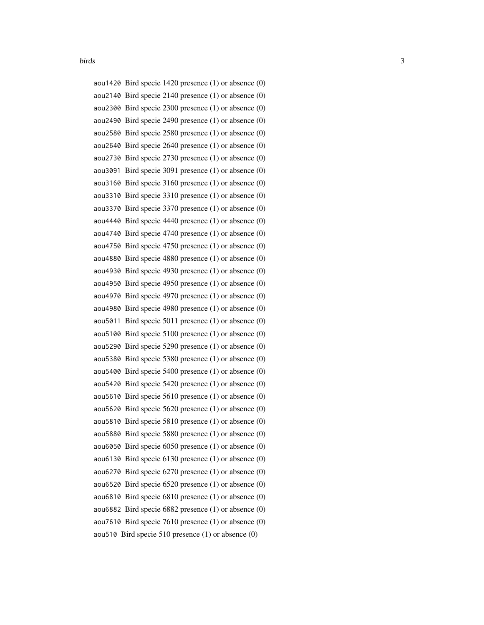| aou1420 Bird specie 1420 presence $(1)$ or absence $(0)$   |
|------------------------------------------------------------|
| aou2140 Bird specie 2140 presence $(1)$ or absence $(0)$   |
| aou2300 Bird specie $2300$ presence $(1)$ or absence $(0)$ |
| aou2490 Bird specie 2490 presence (1) or absence (0)       |
| aou2580 Bird specie $2580$ presence $(1)$ or absence $(0)$ |
| aou2640 Bird specie $2640$ presence $(1)$ or absence $(0)$ |
| aou2730 Bird specie 2730 presence (1) or absence (0)       |
| aou3091 Bird specie 3091 presence $(1)$ or absence $(0)$   |
| aou3160 Bird specie 3160 presence $(1)$ or absence $(0)$   |
| aou3310 Bird specie 3310 presence (1) or absence (0)       |
| aou3370 Bird specie 3370 presence (1) or absence (0)       |
| aou4440 Bird specie 4440 presence $(1)$ or absence $(0)$   |
| aou4740 Bird specie 4740 presence (1) or absence (0)       |
| aou4750 Bird specie 4750 presence $(1)$ or absence $(0)$   |
| aou4880 Bird specie 4880 presence (1) or absence (0)       |
| aou4930 Bird specie 4930 presence (1) or absence (0)       |
| aou4950 Bird specie 4950 presence $(1)$ or absence $(0)$   |
| aou4970 Bird specie 4970 presence $(1)$ or absence $(0)$   |
| aou4980 Bird specie 4980 presence (1) or absence (0)       |
| aou5011 Bird specie 5011 presence $(1)$ or absence $(0)$   |
| aou5100 Bird specie 5100 presence $(1)$ or absence $(0)$   |
| aou5290 Bird specie 5290 presence $(1)$ or absence $(0)$   |
| aou5380 Bird specie 5380 presence (1) or absence (0)       |
| aou5400 Bird specie 5400 presence $(1)$ or absence $(0)$   |
| aou5420 Bird specie 5420 presence $(1)$ or absence $(0)$   |
| aou5610 Bird specie 5610 presence $(1)$ or absence $(0)$   |
| aou5620 Bird specie 5620 presence $(1)$ or absence $(0)$   |
| aou 5810 Bird specie 5810 presence $(1)$ or absence $(0)$  |
| aou5880 Bird specie 5880 presence (1) or absence (0)       |
| aou6050 Bird specie 6050 presence $(1)$ or absence $(0)$   |
| aou6130 Bird specie $6130$ presence $(1)$ or absence $(0)$ |
| aou6270 Bird specie $6270$ presence $(1)$ or absence $(0)$ |
| aou6520 Bird specie $6520$ presence $(1)$ or absence $(0)$ |
| aou6810 Bird specie $6810$ presence $(1)$ or absence $(0)$ |
| aou6882 Bird specie $6882$ presence $(1)$ or absence $(0)$ |
| aou7610 Bird specie 7610 presence $(1)$ or absence $(0)$   |
| aou510 Bird specie 510 presence (1) or absence (0)         |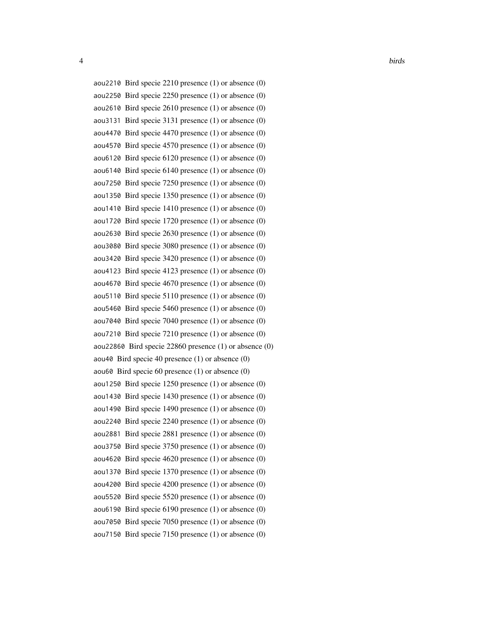```
4 birds and the contract of the contract of the contract of the contract of the contract of the contract of the contract of the contract of the contract of the contract of the contract of the contract of the contract of th
    aou2210 Bird specie 2210 presence (1) or absence (0)
    aou2250 Bird specie 2250 presence (1) or absence (0)
    aou2610 Bird specie 2610 presence (1) or absence (0)
    aou3131 Bird specie 3131 presence (1) or absence (0)
    aou4470 Bird specie 4470 presence (1) or absence (0)
    aou4570 Bird specie 4570 presence (1) or absence (0)
    aou6120 Bird specie 6120 presence (1) or absence (0)
    aou6140 Bird specie 6140 presence (1) or absence (0)
    aou7250 Bird specie 7250 presence (1) or absence (0)
    aou1350 Bird specie 1350 presence (1) or absence (0)
    aou1410 Bird specie 1410 presence (1) or absence (0)
    aou1720 Bird specie 1720 presence (1) or absence (0)
    aou2630 Bird specie 2630 presence (1) or absence (0)
    aou3080 Bird specie 3080 presence (1) or absence (0)
    aou3420 Bird specie 3420 presence (1) or absence (0)
    aou4123 Bird specie 4123 presence (1) or absence (0)
    aou4670 Bird specie 4670 presence (1) or absence (0)
    aou5110 Bird specie 5110 presence (1) or absence (0)
    aou5460 Bird specie 5460 presence (1) or absence (0)
    aou7040 Bird specie 7040 presence (1) or absence (0)
    aou1490 Bird specie 1490 presence (1) or absence (0)
```
- 
- 
- aou7210 Bird specie 7210 presence (1) or absence (0)
- aou22860 Bird specie 22860 presence (1) or absence (0)
- aou40 Bird specie 40 presence (1) or absence (0)
- aou60 Bird specie 60 presence (1) or absence (0)
- aou1250 Bird specie 1250 presence (1) or absence (0)
- aou1430 Bird specie 1430 presence (1) or absence (0)
- 
- aou2240 Bird specie 2240 presence (1) or absence (0)
- aou2881 Bird specie 2881 presence (1) or absence (0)
- aou3750 Bird specie 3750 presence (1) or absence (0)
- aou4620 Bird specie 4620 presence (1) or absence (0)
- aou1370 Bird specie 1370 presence (1) or absence (0)
- aou4200 Bird specie 4200 presence (1) or absence (0)
- aou5520 Bird specie 5520 presence (1) or absence (0)
- aou6190 Bird specie 6190 presence (1) or absence (0)
- aou7050 Bird specie 7050 presence (1) or absence (0)
- aou7150 Bird specie 7150 presence (1) or absence (0)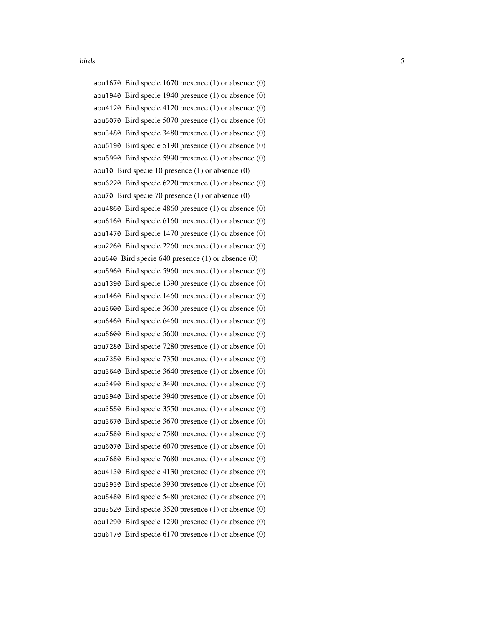aou1670 Bird specie 1670 presence (1) or absence (0) aou1940 Bird specie 1940 presence (1) or absence (0) aou4120 Bird specie 4120 presence (1) or absence (0) aou5070 Bird specie 5070 presence (1) or absence (0) aou3480 Bird specie 3480 presence (1) or absence (0) aou5190 Bird specie 5190 presence (1) or absence (0) aou5990 Bird specie 5990 presence (1) or absence (0) aou10 Bird specie 10 presence (1) or absence (0) aou6220 Bird specie 6220 presence (1) or absence (0) aou70 Bird specie 70 presence (1) or absence (0) aou4860 Bird specie 4860 presence (1) or absence (0) aou6160 Bird specie 6160 presence (1) or absence (0) aou1470 Bird specie 1470 presence (1) or absence (0) aou2260 Bird specie 2260 presence (1) or absence (0) aou640 Bird specie 640 presence (1) or absence (0) aou5960 Bird specie 5960 presence (1) or absence (0) aou1390 Bird specie 1390 presence (1) or absence (0) aou1460 Bird specie 1460 presence (1) or absence (0) aou3600 Bird specie 3600 presence (1) or absence (0) aou6460 Bird specie 6460 presence (1) or absence (0) aou5600 Bird specie 5600 presence (1) or absence (0) aou7280 Bird specie 7280 presence (1) or absence (0) aou7350 Bird specie 7350 presence (1) or absence (0) aou3640 Bird specie 3640 presence (1) or absence (0) aou3490 Bird specie 3490 presence (1) or absence (0) aou3940 Bird specie 3940 presence (1) or absence (0) aou3550 Bird specie 3550 presence (1) or absence (0) aou3670 Bird specie 3670 presence (1) or absence (0) aou7580 Bird specie 7580 presence (1) or absence (0) aou6070 Bird specie 6070 presence (1) or absence (0) aou7680 Bird specie 7680 presence (1) or absence (0) aou4130 Bird specie 4130 presence (1) or absence (0) aou3930 Bird specie 3930 presence (1) or absence (0) aou5480 Bird specie 5480 presence (1) or absence (0) aou3520 Bird specie 3520 presence (1) or absence (0) aou1290 Bird specie 1290 presence (1) or absence (0) aou6170 Bird specie 6170 presence (1) or absence (0)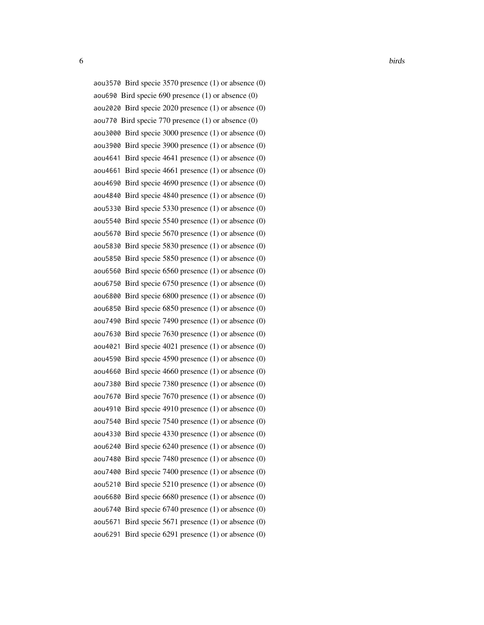```
aou3570 Bird specie 3570 presence (1) or absence (0)
aou690 Bird specie 690 presence (1) or absence (0)
aou2020 Bird specie 2020 presence (1) or absence (0)
aou770 Bird specie 770 presence (1) or absence (0)
aou3000 Bird specie 3000 presence (1) or absence (0)
aou3900 Bird specie 3900 presence (1) or absence (0)
aou4641 Bird specie 4641 presence (1) or absence (0)
aou4661 Bird specie 4661 presence (1) or absence (0)
aou4690 Bird specie 4690 presence (1) or absence (0)
aou4840 Bird specie 4840 presence (1) or absence (0)
aou5330 Bird specie 5330 presence (1) or absence (0)
aou5540 Bird specie 5540 presence (1) or absence (0)
aou5670 Bird specie 5670 presence (1) or absence (0)
aou5830 Bird specie 5830 presence (1) or absence (0)
aou5850 Bird specie 5850 presence (1) or absence (0)
aou6560 Bird specie 6560 presence (1) or absence (0)
aou6750 Bird specie 6750 presence (1) or absence (0)
aou6800 Bird specie 6800 presence (1) or absence (0)
aou6850 Bird specie 6850 presence (1) or absence (0)
aou7490 Bird specie 7490 presence (1) or absence (0)
aou7630 Bird specie 7630 presence (1) or absence (0)
aou4021 Bird specie 4021 presence (1) or absence (0)
aou4590 Bird specie 4590 presence (1) or absence (0)
aou4660 Bird specie 4660 presence (1) or absence (0)
aou7380 Bird specie 7380 presence (1) or absence (0)
aou7670 Bird specie 7670 presence (1) or absence (0)
aou4910 Bird specie 4910 presence (1) or absence (0)
aou7540 Bird specie 7540 presence (1) or absence (0)
aou4330 Bird specie 4330 presence (1) or absence (0)
aou6240 Bird specie 6240 presence (1) or absence (0)
aou7480 Bird specie 7480 presence (1) or absence (0)
aou7400 Bird specie 7400 presence (1) or absence (0)
aou5210 Bird specie 5210 presence (1) or absence (0)
aou6680 Bird specie 6680 presence (1) or absence (0)
aou6740 Bird specie 6740 presence (1) or absence (0)
aou5671 Bird specie 5671 presence (1) or absence (0)
aou6291 Bird specie 6291 presence (1) or absence (0)
```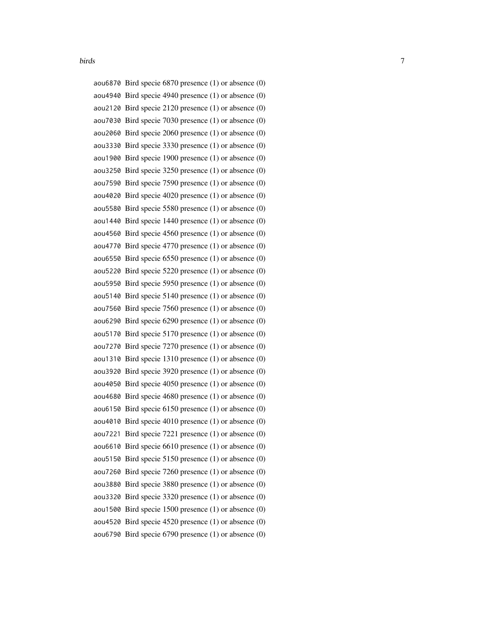|         | aou6870 Bird specie $6870$ presence $(1)$ or absence $(0)$ |
|---------|------------------------------------------------------------|
|         | aou4940 Bird specie 4940 presence $(1)$ or absence $(0)$   |
|         | aou2120 Bird specie 2120 presence $(1)$ or absence $(0)$   |
|         | aou7030 Bird specie 7030 presence (1) or absence (0)       |
|         | aou2060 Bird specie 2060 presence $(1)$ or absence $(0)$   |
|         | aou3330 Bird specie 3330 presence (1) or absence (0)       |
|         | aou1900 Bird specie 1900 presence (1) or absence (0)       |
|         | aou3250 Bird specie 3250 presence $(1)$ or absence $(0)$   |
|         | aou7590 Bird specie 7590 presence $(1)$ or absence $(0)$   |
|         | aou4020 Bird specie 4020 presence (1) or absence (0)       |
|         | aou 5580 Bird specie 5580 presence $(1)$ or absence $(0)$  |
|         | aou1440 Bird specie 1440 presence $(1)$ or absence $(0)$   |
|         | aou4560 Bird specie 4560 presence (1) or absence (0)       |
|         | aou4770 Bird specie 4770 presence $(1)$ or absence $(0)$   |
|         | aou6550 Bird specie $6550$ presence $(1)$ or absence $(0)$ |
|         | aou5220 Bird specie 5220 presence $(1)$ or absence $(0)$   |
|         | aou5950 Bird specie 5950 presence $(1)$ or absence $(0)$   |
|         | aou5140 Bird specie 5140 presence $(1)$ or absence $(0)$   |
|         | aou7560 Bird specie $7560$ presence $(1)$ or absence $(0)$ |
|         | aou6290 Bird specie 6290 presence $(1)$ or absence $(0)$   |
|         | aou5170 Bird specie 5170 presence $(1)$ or absence $(0)$   |
|         | aou7270 Bird specie 7270 presence $(1)$ or absence $(0)$   |
|         | aou1310 Bird specie 1310 presence (1) or absence (0)       |
|         | aou3920 Bird specie 3920 presence (1) or absence (0)       |
|         | aou4050 Bird specie 4050 presence $(1)$ or absence $(0)$   |
|         | aou4680 Bird specie 4680 presence (1) or absence (0)       |
|         | aou6150 Bird specie 6150 presence $(1)$ or absence $(0)$   |
|         | aou4010 Bird specie $4010$ presence $(1)$ or absence $(0)$ |
|         | aou7221 Bird specie 7221 presence (1) or absence (0)       |
|         | aou6610 Bird specie 6610 presence $(1)$ or absence $(0)$   |
|         | aou 5150 Bird specie 5150 presence $(1)$ or absence $(0)$  |
|         | aou7260 Bird specie $7260$ presence $(1)$ or absence $(0)$ |
| aou3880 | Bird specie 3880 presence $(1)$ or absence $(0)$           |
|         | aou3320 Bird specie 3320 presence (1) or absence (0)       |
|         | aou1500 Bird specie 1500 presence (1) or absence (0)       |
|         | aou4520 Bird specie 4520 presence $(1)$ or absence $(0)$   |
|         | aou6790 Bird specie 6790 presence (1) or absence (0)       |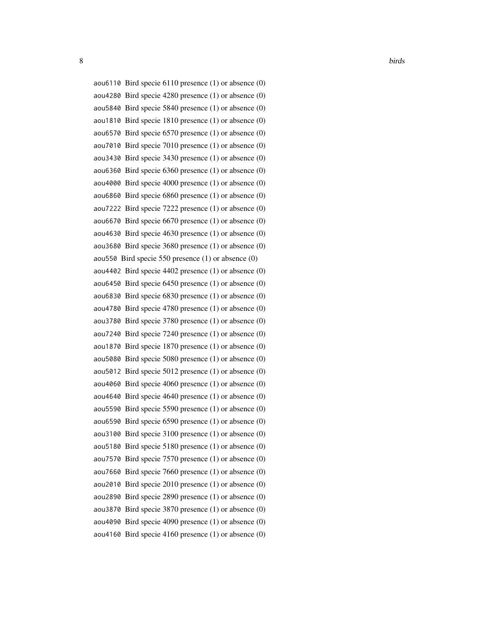```
8 birds and the set of the set of the set of the set of the set of the set of the set of the set of the set of the set of the set of the set of the set of the set of the set of the set of the set of the set of the set of t
    aou6110 Bird specie 6110 presence (1) or absence (0)
    aou4280 Bird specie 4280 presence (1) or absence (0)
    aou5840 Bird specie 5840 presence (1) or absence (0)
    aou1810 Bird specie 1810 presence (1) or absence (0)
    aou6570 Bird specie 6570 presence (1) or absence (0)
    aou7010 Bird specie 7010 presence (1) or absence (0)
    aou3430 Bird specie 3430 presence (1) or absence (0)
    aou6360 Bird specie 6360 presence (1) or absence (0)
    aou4000 Bird specie 4000 presence (1) or absence (0)
    aou6860 Bird specie 6860 presence (1) or absence (0)
    aou7222 Bird specie 7222 presence (1) or absence (0)
    aou6670 Bird specie 6670 presence (1) or absence (0)
    aou4630 Bird specie 4630 presence (1) or absence (0)
    aou3680 Bird specie 3680 presence (1) or absence (0)
    aou550 Bird specie 550 presence (1) or absence (0)
    aou4402 Bird specie 4402 presence (1) or absence (0)
    aou6450 Bird specie 6450 presence (1) or absence (0)
    aou6830 Bird specie 6830 presence (1) or absence (0)
    aou4780 Bird specie 4780 presence (1) or absence (0)
    aou3780 Bird specie 3780 presence (1) or absence (0)
    aou7240 Bird specie 7240 presence (1) or absence (0)
    aou1870 Bird specie 1870 presence (1) or absence (0)
    aou5080 Bird specie 5080 presence (1) or absence (0)
    aou5012 Bird specie 5012 presence (1) or absence (0)
    aou4060 Bird specie 4060 presence (1) or absence (0)
```
aou4640 Bird specie 4640 presence (1) or absence (0)

aou5590 Bird specie 5590 presence (1) or absence (0)

aou6590 Bird specie 6590 presence (1) or absence (0)

aou3100 Bird specie 3100 presence (1) or absence (0)

aou5180 Bird specie 5180 presence (1) or absence (0)

aou7570 Bird specie 7570 presence (1) or absence (0)

aou7660 Bird specie 7660 presence (1) or absence (0)

aou2010 Bird specie 2010 presence (1) or absence (0)

aou2890 Bird specie 2890 presence (1) or absence (0)

aou3870 Bird specie 3870 presence (1) or absence (0)

aou4090 Bird specie 4090 presence (1) or absence (0)

aou4160 Bird specie 4160 presence (1) or absence (0)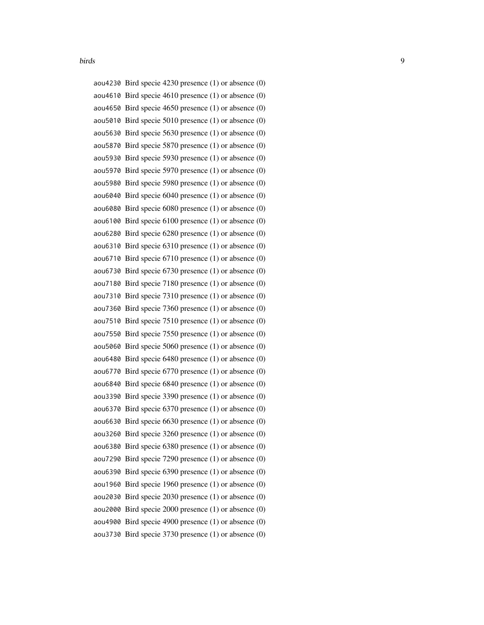| aou4230 Bird specie $4230$ presence $(1)$ or absence $(0)$ |
|------------------------------------------------------------|
| aou4610 Bird specie 4610 presence $(1)$ or absence $(0)$   |
| aou4650 Bird specie 4650 presence $(1)$ or absence $(0)$   |
| aou5010 Bird specie 5010 presence $(1)$ or absence $(0)$   |
| aou5630 Bird specie 5630 presence $(1)$ or absence $(0)$   |
| aou5870 Bird specie 5870 presence (1) or absence (0)       |
| aou5930 Bird specie 5930 presence (1) or absence (0)       |
| aou5970 Bird specie 5970 presence $(1)$ or absence $(0)$   |
| aou5980 Bird specie 5980 presence (1) or absence (0)       |
| aou6040 Bird specie 6040 presence (1) or absence (0)       |
| aou6080 Bird specie 6080 presence (1) or absence (0)       |
| aou6100 Bird specie $6100$ presence $(1)$ or absence $(0)$ |
| aou6280 Bird specie 6280 presence (1) or absence (0)       |
| aou6310 Bird specie $6310$ presence $(1)$ or absence $(0)$ |
| aou6710 Bird specie $6710$ presence $(1)$ or absence $(0)$ |
| aou6730 Bird specie $6730$ presence $(1)$ or absence $(0)$ |
| aou7180 Bird specie 7180 presence (1) or absence (0)       |
| aou7310 Bird specie $7310$ presence $(1)$ or absence $(0)$ |
| aou7360 Bird specie 7360 presence $(1)$ or absence $(0)$   |
| aou7510 Bird specie $7510$ presence $(1)$ or absence $(0)$ |
| aou7550 Bird specie $7550$ presence $(1)$ or absence $(0)$ |
| aou5060 Bird specie 5060 presence $(1)$ or absence $(0)$   |
| aou6480 Bird specie 6480 presence (1) or absence (0)       |
| aou6770 Bird specie 6770 presence $(1)$ or absence $(0)$   |
| aou6840 Bird specie $6840$ presence $(1)$ or absence $(0)$ |
| aou3390 Bird specie 3390 presence $(1)$ or absence $(0)$   |
| aou6370 Bird specie $6370$ presence $(1)$ or absence $(0)$ |
| aou6630 Bird specie 6630 presence $(1)$ or absence $(0)$   |
| aou3260 Bird specie 3260 presence (1) or absence (0)       |
| aou6380 Bird specie 6380 presence (1) or absence (0)       |
| aou7290 Bird specie 7290 presence (1) or absence (0)       |
| aou6390 Bird specie 6390 presence (1) or absence (0)       |
| aou1960 Bird specie 1960 presence (1) or absence (0)       |
| aou2030 Bird specie 2030 presence $(1)$ or absence $(0)$   |
| aou2000 Bird specie 2000 presence (1) or absence (0)       |
| aou4900 Bird specie 4900 presence (1) or absence (0)       |
| aou3730 Bird specie 3730 presence (1) or absence (0)       |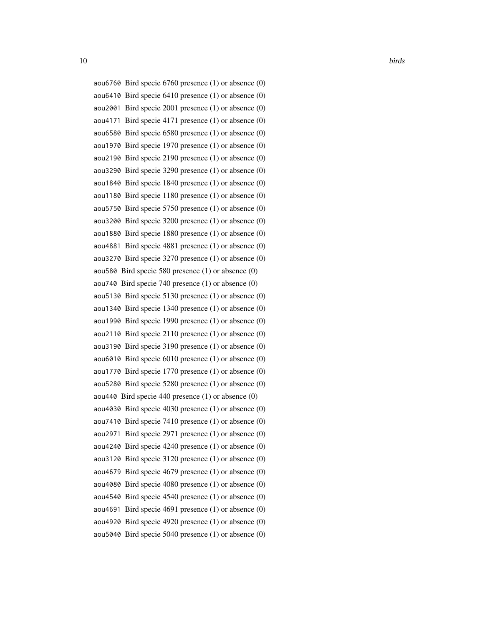```
aou6760 Bird specie 6760 presence (1) or absence (0)
aou6410 Bird specie 6410 presence (1) or absence (0)
aou2001 Bird specie 2001 presence (1) or absence (0)
aou4171 Bird specie 4171 presence (1) or absence (0)
aou6580 Bird specie 6580 presence (1) or absence (0)
aou1970 Bird specie 1970 presence (1) or absence (0)
aou2190 Bird specie 2190 presence (1) or absence (0)
aou3290 Bird specie 3290 presence (1) or absence (0)
aou1840 Bird specie 1840 presence (1) or absence (0)
aou1180 Bird specie 1180 presence (1) or absence (0)
aou5750 Bird specie 5750 presence (1) or absence (0)
aou3200 Bird specie 3200 presence (1) or absence (0)
aou1880 Bird specie 1880 presence (1) or absence (0)
aou4881 Bird specie 4881 presence (1) or absence (0)
aou3270 Bird specie 3270 presence (1) or absence (0)
aou580 Bird specie 580 presence (1) or absence (0)
aou740 Bird specie 740 presence (1) or absence (0)
aou5130 Bird specie 5130 presence (1) or absence (0)
aou1340 Bird specie 1340 presence (1) or absence (0)
aou1990 Bird specie 1990 presence (1) or absence (0)
aou2110 Bird specie 2110 presence (1) or absence (0)
aou3190 Bird specie 3190 presence (1) or absence (0)
aou6010 Bird specie 6010 presence (1) or absence (0)
aou1770 Bird specie 1770 presence (1) or absence (0)
aou5280 Bird specie 5280 presence (1) or absence (0)
aou440 Bird specie 440 presence (1) or absence (0)
aou4030 Bird specie 4030 presence (1) or absence (0)
aou7410 Bird specie 7410 presence (1) or absence (0)
aou2971 Bird specie 2971 presence (1) or absence (0)
aou4240 Bird specie 4240 presence (1) or absence (0)
aou3120 Bird specie 3120 presence (1) or absence (0)
aou4679 Bird specie 4679 presence (1) or absence (0)
aou4080 Bird specie 4080 presence (1) or absence (0)
aou4540 Bird specie 4540 presence (1) or absence (0)
aou4691 Bird specie 4691 presence (1) or absence (0)
aou4920 Bird specie 4920 presence (1) or absence (0)
aou5040 Bird specie 5040 presence (1) or absence (0)
```
10 birds **birds birds birds birds birds birds birds birds birds b**irds **b**irds **b**irds **b**irds **b**irds **b**irds **b**irds **birds birds birds birds birds birds birds birds birds birds bird**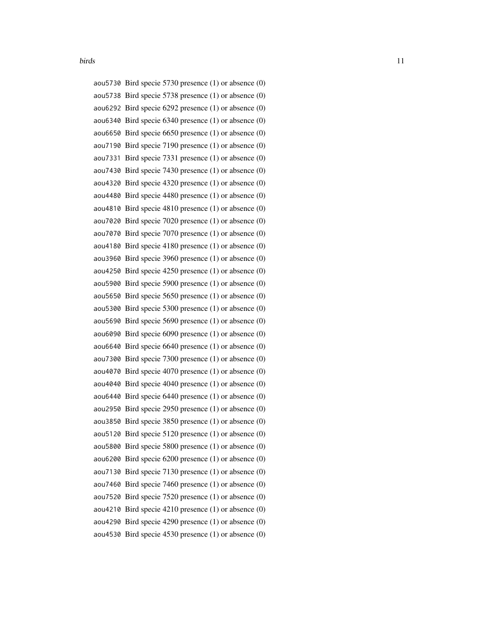|         | aou5730 Bird specie 5730 presence (1) or absence (0)       |
|---------|------------------------------------------------------------|
|         | aou 5738 Bird specie 5738 presence $(1)$ or absence $(0)$  |
|         | aou6292 Bird specie 6292 presence $(1)$ or absence $(0)$   |
|         | aou6340 Bird specie $6340$ presence $(1)$ or absence $(0)$ |
|         | aou6650 Bird specie 6650 presence $(1)$ or absence $(0)$   |
|         | aou7190 Bird specie 7190 presence (1) or absence (0)       |
|         | aou7331 Bird specie 7331 presence (1) or absence (0)       |
|         | aou7430 Bird specie 7430 presence $(1)$ or absence $(0)$   |
|         | aou4320 Bird specie 4320 presence $(1)$ or absence $(0)$   |
|         | aou4480 Bird specie 4480 presence (1) or absence (0)       |
|         | aou4810 Bird specie 4810 presence (1) or absence (0)       |
|         | aou7020 Bird specie 7020 presence (1) or absence (0)       |
|         | aou7070 Bird specie 7070 presence (1) or absence (0)       |
|         | aou4180 Bird specie 4180 presence (1) or absence (0)       |
|         | aou3960 Bird specie 3960 presence (1) or absence (0)       |
|         | aou4250 Bird specie 4250 presence (1) or absence (0)       |
|         | aou5900 Bird specie 5900 presence (1) or absence (0)       |
|         | aou5650 Bird specie 5650 presence $(1)$ or absence $(0)$   |
|         | aou5300 Bird specie 5300 presence (1) or absence (0)       |
|         | aou5690 Bird specie 5690 presence $(1)$ or absence $(0)$   |
|         | aou6090 Bird specie 6090 presence $(1)$ or absence $(0)$   |
|         | aou6640 Bird specie 6640 presence $(1)$ or absence $(0)$   |
|         | aou7300 Bird specie 7300 presence (1) or absence (0)       |
|         | aou4070 Bird specie 4070 presence $(1)$ or absence $(0)$   |
|         | aou4040 Bird specie 4040 presence $(1)$ or absence $(0)$   |
|         | aou6440 Bird specie 6440 presence $(1)$ or absence $(0)$   |
|         | aou2950 Bird specie 2950 presence $(1)$ or absence $(0)$   |
|         | aou3850 Bird specie 3850 presence (1) or absence (0)       |
|         | aou5120 Bird specie 5120 presence (1) or absence (0)       |
|         | aou5800 Bird specie 5800 presence (1) or absence (0)       |
|         | aou6200 Bird specie 6200 presence $(1)$ or absence $(0)$   |
|         | aou7130 Bird specie 7130 presence $(1)$ or absence $(0)$   |
| aou7460 | Bird specie 7460 presence (1) or absence (0)               |
|         | aou7520 Bird specie $7520$ presence $(1)$ or absence $(0)$ |
|         | aou4210 Bird specie 4210 presence $(1)$ or absence $(0)$   |
|         | aou4290 Bird specie 4290 presence $(1)$ or absence $(0)$   |
|         | aou4530 Bird specie 4530 presence (1) or absence (0)       |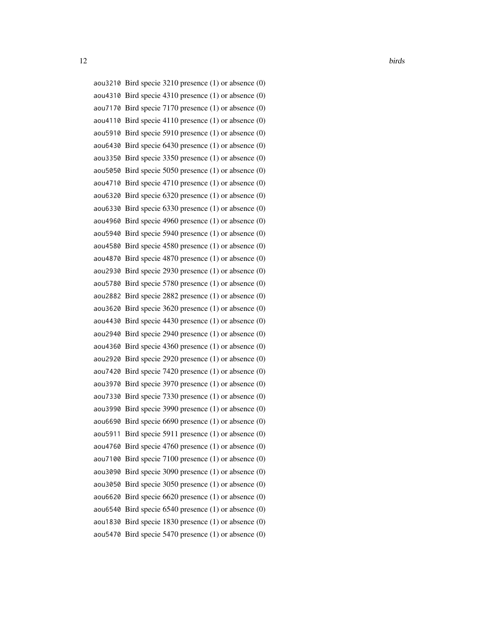12 birds and the set of the set of the set of the set of the set of the set of the set of the set of the set of the set of the set of the set of the set of the set of the set of the set of the set of the set of the set of

aou3210 Bird specie 3210 presence (1) or absence (0) aou4310 Bird specie 4310 presence (1) or absence (0) aou7170 Bird specie 7170 presence (1) or absence (0) aou4110 Bird specie 4110 presence (1) or absence (0) aou5910 Bird specie 5910 presence (1) or absence (0) aou6430 Bird specie 6430 presence (1) or absence (0) aou3350 Bird specie 3350 presence (1) or absence (0) aou5050 Bird specie 5050 presence (1) or absence (0) aou4710 Bird specie 4710 presence (1) or absence (0) aou6320 Bird specie 6320 presence (1) or absence (0) aou6330 Bird specie 6330 presence (1) or absence (0) aou4960 Bird specie 4960 presence (1) or absence (0) aou5940 Bird specie 5940 presence (1) or absence (0) aou4580 Bird specie 4580 presence (1) or absence (0) aou4870 Bird specie 4870 presence (1) or absence (0) aou2930 Bird specie 2930 presence (1) or absence (0) aou5780 Bird specie 5780 presence (1) or absence (0) aou2882 Bird specie 2882 presence (1) or absence (0) aou3620 Bird specie 3620 presence (1) or absence (0) aou4430 Bird specie 4430 presence (1) or absence (0) aou2940 Bird specie 2940 presence (1) or absence (0) aou4360 Bird specie 4360 presence (1) or absence (0) aou2920 Bird specie 2920 presence (1) or absence (0) aou7420 Bird specie 7420 presence (1) or absence (0) aou3970 Bird specie 3970 presence (1) or absence (0) aou7330 Bird specie 7330 presence (1) or absence (0) aou3990 Bird specie 3990 presence (1) or absence (0) aou6690 Bird specie 6690 presence (1) or absence (0) aou5911 Bird specie 5911 presence (1) or absence (0) aou4760 Bird specie 4760 presence (1) or absence (0) aou7100 Bird specie 7100 presence (1) or absence (0) aou3090 Bird specie 3090 presence (1) or absence (0) aou3050 Bird specie 3050 presence (1) or absence (0) aou6620 Bird specie 6620 presence (1) or absence (0) aou6540 Bird specie 6540 presence (1) or absence (0) aou1830 Bird specie 1830 presence (1) or absence (0) aou5470 Bird specie 5470 presence (1) or absence (0)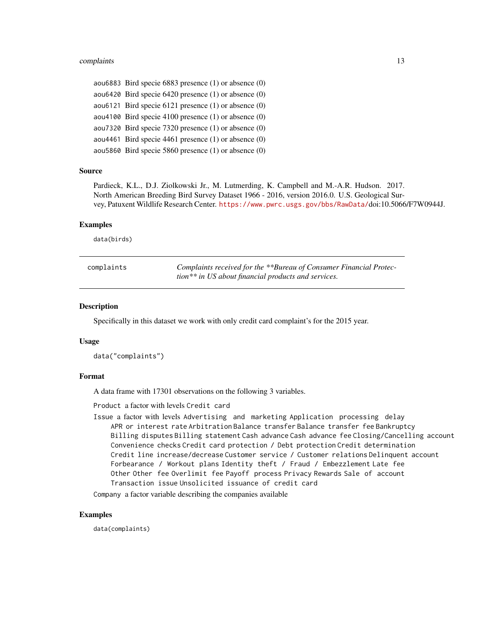#### <span id="page-12-0"></span>complaints that the complaints of the complaints of the complaints of the complaints of the complaints of the complaints of the complaints of the complaints of the complaints of the complaints of the complaints of the comp

aou6883 Bird specie 6883 presence (1) or absence (0) aou6420 Bird specie 6420 presence (1) or absence (0) aou6121 Bird specie 6121 presence (1) or absence (0) aou4100 Bird specie 4100 presence (1) or absence (0) aou7320 Bird specie 7320 presence (1) or absence (0) aou4461 Bird specie 4461 presence (1) or absence (0) aou5860 Bird specie 5860 presence (1) or absence (0)

#### Source

Pardieck, K.L., D.J. Ziolkowski Jr., M. Lutmerding, K. Campbell and M.-A.R. Hudson. 2017. North American Breeding Bird Survey Dataset 1966 - 2016, version 2016.0. U.S. Geological Survey, Patuxent Wildlife Research Center. <https://www.pwrc.usgs.gov/bbs/RawData/>doi:10.5066/F7W0944J.

#### Examples

data(birds)

| complaints | Complaints received for the **Bureau of Consumer Financial Protec- |
|------------|--------------------------------------------------------------------|
|            | tion** in US about financial products and services.                |

#### **Description**

Specifically in this dataset we work with only credit card complaint's for the 2015 year.

#### Usage

data("complaints")

#### Format

A data frame with 17301 observations on the following 3 variables.

Product a factor with levels Credit card

Issue a factor with levels Advertising and marketing Application processing delay APR or interest rate Arbitration Balance transfer Balance transfer fee Bankruptcy Billing disputes Billing statement Cash advance Cash advance fee Closing/Cancelling account Convenience checks Credit card protection / Debt protection Credit determination Credit line increase/decrease Customer service / Customer relations Delinquent account Forbearance / Workout plans Identity theft / Fraud / Embezzlement Late fee Other Other fee Overlimit fee Payoff process Privacy Rewards Sale of account Transaction issue Unsolicited issuance of credit card

Company a factor variable describing the companies available

#### Examples

data(complaints)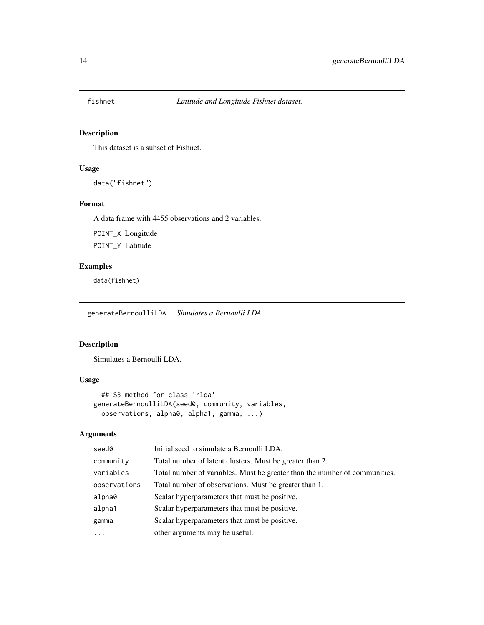<span id="page-13-0"></span>

# Description

This dataset is a subset of Fishnet.

# Usage

data("fishnet")

# Format

A data frame with 4455 observations and 2 variables.

POINT\_X Longitude

POINT\_Y Latitude

# Examples

data(fishnet)

<span id="page-13-1"></span>generateBernoulliLDA *Simulates a Bernoulli LDA.*

# Description

Simulates a Bernoulli LDA.

# Usage

```
## S3 method for class 'rlda'
generateBernoulliLDA(seed0, community, variables,
 observations, alpha0, alpha1, gamma, ...)
```
# Arguments

| seed0        | Initial seed to simulate a Bernoulli LDA.                                  |
|--------------|----------------------------------------------------------------------------|
| community    | Total number of latent clusters. Must be greater than 2.                   |
| variables    | Total number of variables. Must be greater than the number of communities. |
| observations | Total number of observations. Must be greater than 1.                      |
| alpha0       | Scalar hyperparameters that must be positive.                              |
| alpha1       | Scalar hyperparameters that must be positive.                              |
| gamma        | Scalar hyperparameters that must be positive.                              |
| $\ddots$ .   | other arguments may be useful.                                             |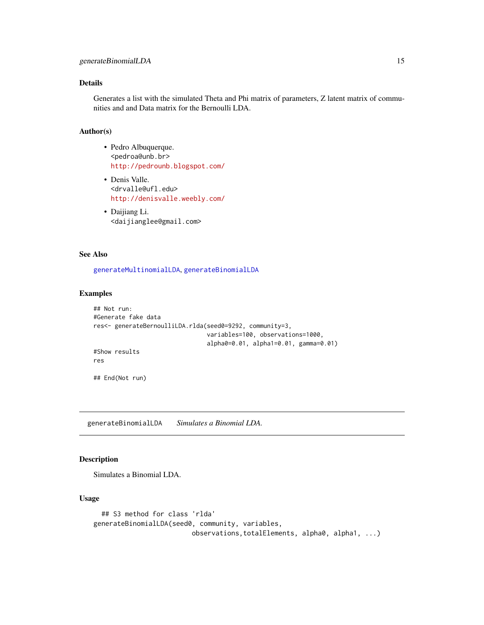# <span id="page-14-0"></span>Details

Generates a list with the simulated Theta and Phi matrix of parameters, Z latent matrix of communities and and Data matrix for the Bernoulli LDA.

# Author(s)

- Pedro Albuquerque. <pedroa@unb.br> <http://pedrounb.blogspot.com/>
- Denis Valle. <drvalle@ufl.edu> <http://denisvalle.weebly.com/>
- Daijiang Li. <daijianglee@gmail.com>

#### See Also

[generateMultinomialLDA](#page-16-1), [generateBinomialLDA](#page-14-1)

#### Examples

```
## Not run:
#Generate fake data
res<- generateBernoulliLDA.rlda(seed0=9292, community=3,
                                variables=100, observations=1000,
                                alpha0=0.01, alpha1=0.01, gamma=0.01)
#Show results
res
## End(Not run)
```
<span id="page-14-1"></span>generateBinomialLDA *Simulates a Binomial LDA.*

#### Description

Simulates a Binomial LDA.

#### Usage

```
## S3 method for class 'rlda'
generateBinomialLDA(seed0, community, variables,
                         observations,totalElements, alpha0, alpha1, ...)
```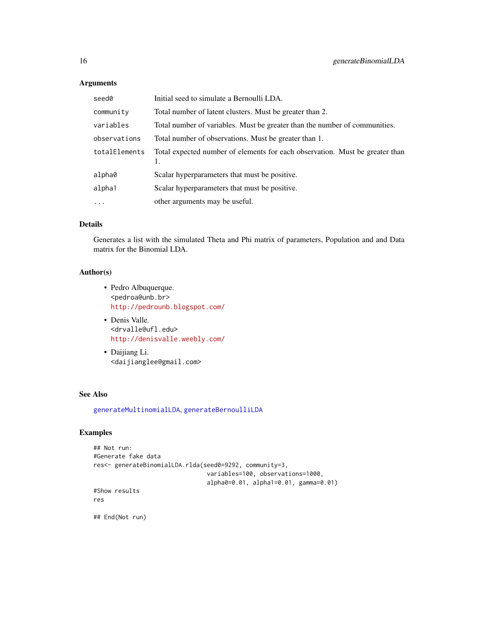# Arguments

| seed0         | Initial seed to simulate a Bernoulli LDA.                                    |
|---------------|------------------------------------------------------------------------------|
| community     | Total number of latent clusters. Must be greater than 2.                     |
| variables     | Total number of variables. Must be greater than the number of communities.   |
| observations  | Total number of observations. Must be greater than 1.                        |
| totalElements | Total expected number of elements for each observation. Must be greater than |
| alpha0        | Scalar hyperparameters that must be positive.                                |
| alpha1        | Scalar hyperparameters that must be positive.                                |
| $\cdots$      | other arguments may be useful.                                               |

# Details

Generates a list with the simulated Theta and Phi matrix of parameters, Population and and Data matrix for the Binomial LDA.

# Author(s)

- Pedro Albuquerque. <pedroa@unb.br> <http://pedrounb.blogspot.com/>
- Denis Valle. <drvalle@ufl.edu> <http://denisvalle.weebly.com/>
- Daijiang Li. <daijianglee@gmail.com>

#### See Also

[generateMultinomialLDA](#page-16-1), [generateBernoulliLDA](#page-13-1)

# Examples

```
## Not run:
#Generate fake data
res<- generateBinomialLDA.rlda(seed0=9292, community=3,
                                variables=100, observations=1000,
                                alpha0=0.01, alpha1=0.01, gamma=0.01)
#Show results
res
```
## End(Not run)

<span id="page-15-0"></span>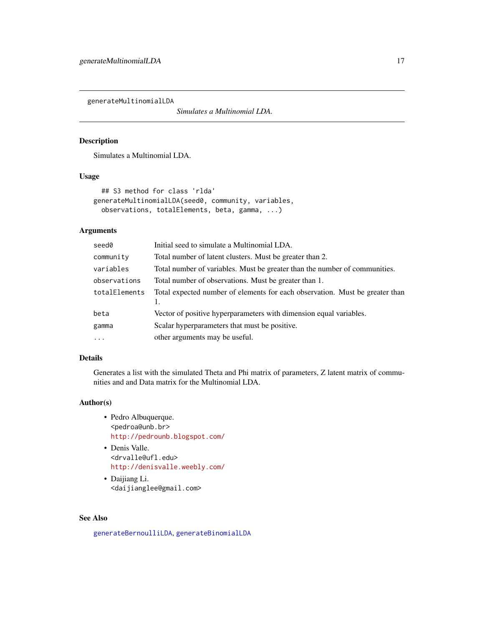<span id="page-16-1"></span><span id="page-16-0"></span>generateMultinomialLDA

*Simulates a Multinomial LDA.*

#### Description

Simulates a Multinomial LDA.

# Usage

```
## S3 method for class 'rlda'
generateMultinomialLDA(seed0, community, variables,
 observations, totalElements, beta, gamma, ...)
```
# Arguments

| seed0         | Initial seed to simulate a Multinomial LDA.                                  |
|---------------|------------------------------------------------------------------------------|
| community     | Total number of latent clusters. Must be greater than 2.                     |
| variables     | Total number of variables. Must be greater than the number of communities.   |
| observations  | Total number of observations. Must be greater than 1.                        |
| totalElements | Total expected number of elements for each observation. Must be greater than |
| beta          | Vector of positive hyperparameters with dimension equal variables.           |
|               |                                                                              |
| gamma         | Scalar hyperparameters that must be positive.                                |
| $\ddots$      | other arguments may be useful.                                               |

# Details

Generates a list with the simulated Theta and Phi matrix of parameters, Z latent matrix of communities and and Data matrix for the Multinomial LDA.

# Author(s)

- Pedro Albuquerque. <pedroa@unb.br> <http://pedrounb.blogspot.com/>
- Denis Valle. <drvalle@ufl.edu> <http://denisvalle.weebly.com/>
- Daijiang Li. <daijianglee@gmail.com>

#### See Also

[generateBernoulliLDA](#page-13-1), [generateBinomialLDA](#page-14-1)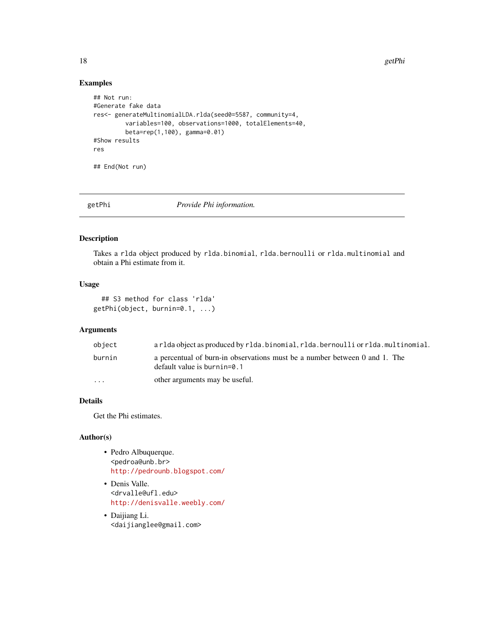18 getPhi

# Examples

```
## Not run:
#Generate fake data
res<- generateMultinomialLDA.rlda(seed0=5587, community=4,
         variables=100, observations=1000, totalElements=40,
         beta=rep(1,100), gamma=0.01)
#Show results
res
## End(Not run)
```
getPhi *Provide Phi information.*

# Description

Takes a rlda object produced by rlda.binomial, rlda.bernoulli or rlda.multinomial and obtain a Phi estimate from it.

# Usage

```
## S3 method for class 'rlda'
getPhi(object, burnin=0.1, ...)
```
# Arguments

| object   | arlda object as produced by rlda.binomial, rlda.bernoulli or rlda.multinomial.                               |
|----------|--------------------------------------------------------------------------------------------------------------|
| burnin   | a percentual of burn-in observations must be a number between 0 and 1. The<br>default value is burnin= $0.1$ |
| $\cdots$ | other arguments may be useful.                                                                               |

# Details

Get the Phi estimates.

#### Author(s)

- Pedro Albuquerque. <pedroa@unb.br> <http://pedrounb.blogspot.com/>
- Denis Valle. <drvalle@ufl.edu> <http://denisvalle.weebly.com/>
- Daijiang Li. <daijianglee@gmail.com>

<span id="page-17-0"></span>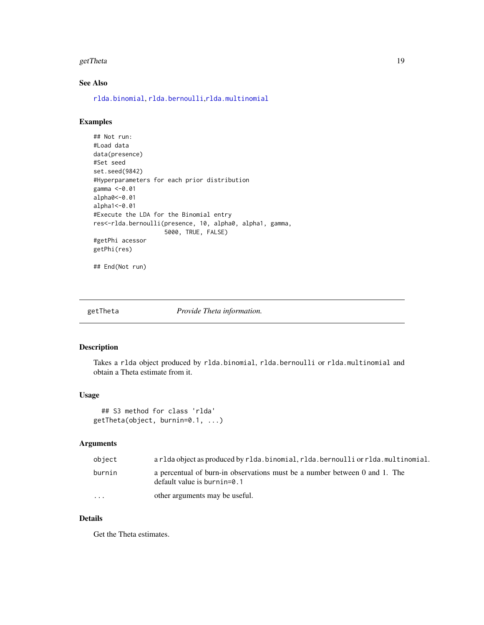#### <span id="page-18-0"></span>getTheta 19

# See Also

[rlda.binomial](#page-30-1), [rlda.bernoulli](#page-26-1),[rlda.multinomial](#page-39-1)

# Examples

```
## Not run:
#Load data
data(presence)
#Set seed
set.seed(9842)
#Hyperparameters for each prior distribution
gamma <-0.01
alpha0<-0.01
alpha1<-0.01
#Execute the LDA for the Binomial entry
res<-rlda.bernoulli(presence, 10, alpha0, alpha1, gamma,
                    5000, TRUE, FALSE)
#getPhi acessor
getPhi(res)
## End(Not run)
```
#### getTheta *Provide Theta information.*

# Description

Takes a rlda object produced by rlda.binomial, rlda.bernoulli or rlda.multinomial and obtain a Theta estimate from it.

# Usage

```
## S3 method for class 'rlda'
getTheta(object, burnin=0.1, ...)
```
# Arguments

| object               | a rlda object as produced by rlda.binomial, rlda.bernoulli or rlda.multinomial.                              |
|----------------------|--------------------------------------------------------------------------------------------------------------|
| burnin               | a percentual of burn-in observations must be a number between 0 and 1. The<br>default value is burnin= $0.1$ |
| $\ddot{\phantom{0}}$ | other arguments may be useful.                                                                               |

### Details

Get the Theta estimates.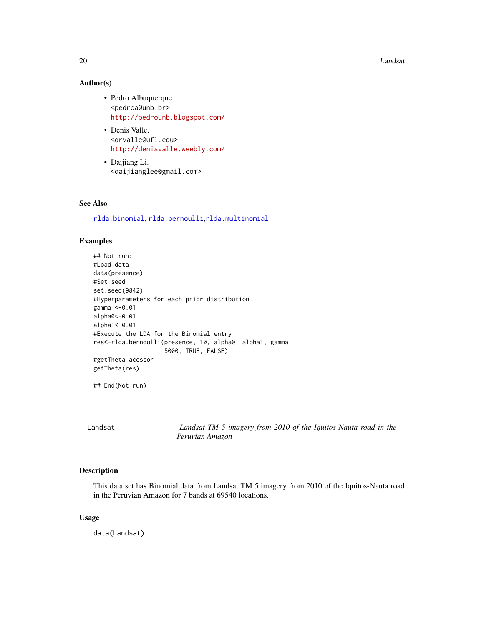20 Landsat 20 Landsat 20 Landsat 20 Landsat 20 Landsat 20 Landsat 20 Landsat 20 Landsat 20 Landsat 20 Landsat

# Author(s)

- Pedro Albuquerque. <pedroa@unb.br> <http://pedrounb.blogspot.com/>
- Denis Valle. <drvalle@ufl.edu> <http://denisvalle.weebly.com/>
- Daijiang Li. <daijianglee@gmail.com>

# See Also

[rlda.binomial](#page-30-1), [rlda.bernoulli](#page-26-1),[rlda.multinomial](#page-39-1)

#### Examples

```
## Not run:
#Load data
data(presence)
#Set seed
set.seed(9842)
#Hyperparameters for each prior distribution
gamma <-0.01
alpha0<-0.01
alpha1<-0.01
#Execute the LDA for the Binomial entry
res<-rlda.bernoulli(presence, 10, alpha0, alpha1, gamma,
                    5000, TRUE, FALSE)
#getTheta acessor
getTheta(res)
```
## End(Not run)

| Landsat |                 |  | Landsat TM 5 imagery from 2010 of the Iquitos-Nauta road in the |  |  |
|---------|-----------------|--|-----------------------------------------------------------------|--|--|
|         | Peruvian Amazon |  |                                                                 |  |  |

#### Description

This data set has Binomial data from Landsat TM 5 imagery from 2010 of the Iquitos-Nauta road in the Peruvian Amazon for 7 bands at 69540 locations.

# Usage

data(Landsat)

<span id="page-19-0"></span>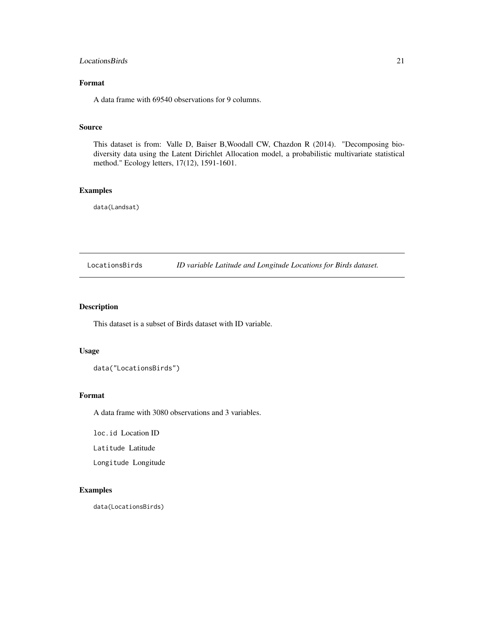#### <span id="page-20-0"></span>LocationsBirds 21

# Format

A data frame with 69540 observations for 9 columns.

#### Source

This dataset is from: Valle D, Baiser B,Woodall CW, Chazdon R (2014). "Decomposing biodiversity data using the Latent Dirichlet Allocation model, a probabilistic multivariate statistical method." Ecology letters, 17(12), 1591-1601.

# Examples

data(Landsat)

LocationsBirds *ID variable Latitude and Longitude Locations for Birds dataset.*

# Description

This dataset is a subset of Birds dataset with ID variable.

# Usage

data("LocationsBirds")

# Format

A data frame with 3080 observations and 3 variables.

loc.id Location ID

Latitude Latitude

Longitude Longitude

# Examples

data(LocationsBirds)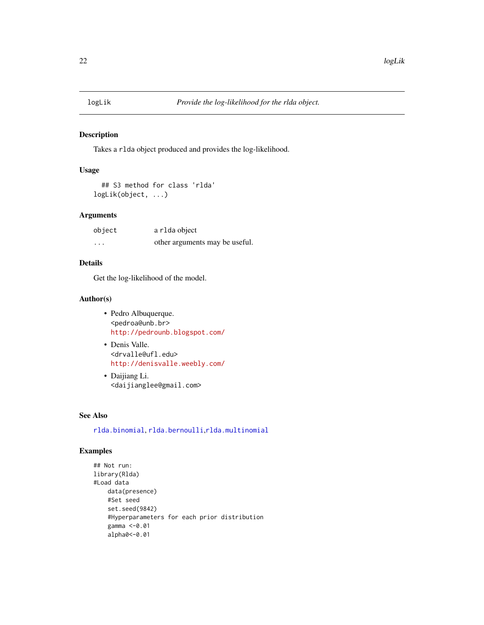<span id="page-21-0"></span>

# Description

Takes a rlda object produced and provides the log-likelihood.

# Usage

```
## S3 method for class 'rlda'
logLik(object, ...)
```
# Arguments

| object   | a r1da object                  |
|----------|--------------------------------|
| $\cdots$ | other arguments may be useful. |

# Details

Get the log-likelihood of the model.

# Author(s)

- Pedro Albuquerque. <pedroa@unb.br> <http://pedrounb.blogspot.com/>
- Denis Valle. <drvalle@ufl.edu> <http://denisvalle.weebly.com/>
- Daijiang Li. <daijianglee@gmail.com>

# See Also

[rlda.binomial](#page-30-1), [rlda.bernoulli](#page-26-1),[rlda.multinomial](#page-39-1)

# Examples

```
## Not run:
library(Rlda)
#Load data
   data(presence)
   #Set seed
    set.seed(9842)
    #Hyperparameters for each prior distribution
    gamma <-0.01
    alpha0<-0.01
```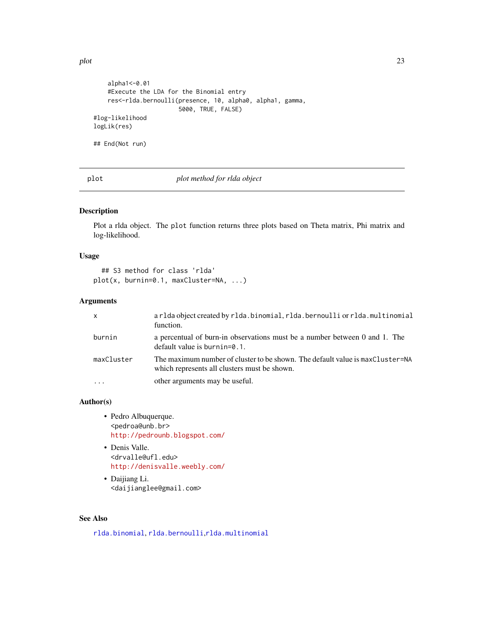```
alpha1<-0.01
    #Execute the LDA for the Binomial entry
   res<-rlda.bernoulli(presence, 10, alpha0, alpha1, gamma,
                       5000, TRUE, FALSE)
#log-likelihood
logLik(res)
## End(Not run)
```
plot *plot method for rlda object*

# Description

Plot a rlda object. The plot function returns three plots based on Theta matrix, Phi matrix and log-likelihood.

#### Usage

```
## S3 method for class 'rlda'
plot(x, burnin=0.1, maxCluster=NA, ...)
```
# Arguments

| $\mathsf{x}$ | arlda object created by rlda.binomial, rlda.bernoulli or rlda.multinomial<br>function.                                        |
|--------------|-------------------------------------------------------------------------------------------------------------------------------|
| burnin       | a percentual of burn-in observations must be a number between 0 and 1. The<br>$default value$ is burnin= $0.1$ .              |
| maxCluster   | The maximum number of cluster to be shown. The default value is maxCluster=NA<br>which represents all clusters must be shown. |
|              | other arguments may be useful.                                                                                                |

#### Author(s)

- Pedro Albuquerque. <pedroa@unb.br> <http://pedrounb.blogspot.com/>
- Denis Valle. <drvalle@ufl.edu> <http://denisvalle.weebly.com/>
- Daijiang Li. <daijianglee@gmail.com>

#### See Also

[rlda.binomial](#page-30-1), [rlda.bernoulli](#page-26-1),[rlda.multinomial](#page-39-1)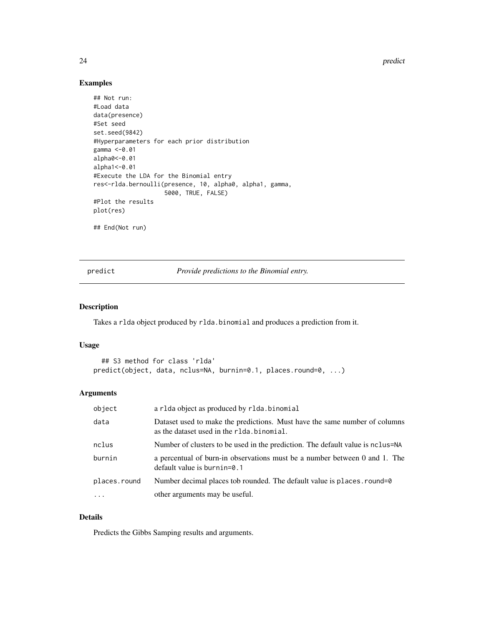24 predict the set of the set of the set of the set of the set of the set of the set of the set of the set of the set of the set of the set of the set of the set of the set of the set of the set of the set of the set of th

# Examples

```
## Not run:
#Load data
data(presence)
#Set seed
set.seed(9842)
#Hyperparameters for each prior distribution
gamma <-0.01
alpha0<-0.01
alpha1<-0.01
#Execute the LDA for the Binomial entry
res<-rlda.bernoulli(presence, 10, alpha0, alpha1, gamma,
                    5000, TRUE, FALSE)
#Plot the results
plot(res)
## End(Not run)
```
predict *Provide predictions to the Binomial entry.*

# Description

Takes a rlda object produced by rlda.binomial and produces a prediction from it.

#### Usage

```
## S3 method for class 'rlda'
predict(object, data, nclus=NA, burnin=0.1, places.round=0, ...)
```
#### Arguments

| object       | a r1da object as produced by r1da.binomial                                                                               |
|--------------|--------------------------------------------------------------------------------------------------------------------------|
| data         | Dataset used to make the predictions. Must have the same number of columns<br>as the dataset used in the r1da. binomial. |
| nclus        | Number of clusters to be used in the prediction. The default value is no lus=NA                                          |
| burnin       | a percentual of burn-in observations must be a number between 0 and 1. The<br>default value is burnin=0.1                |
| places.round | Number decimal places to brounded. The default value is places round=0                                                   |
|              | other arguments may be useful.                                                                                           |

# Details

Predicts the Gibbs Samping results and arguments.

<span id="page-23-0"></span>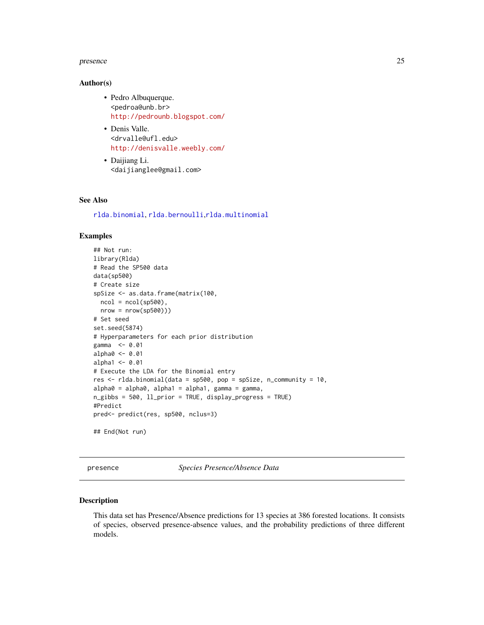#### <span id="page-24-0"></span>presence 25

#### Author(s)

- Pedro Albuquerque. <pedroa@unb.br> <http://pedrounb.blogspot.com/>
- Denis Valle. <drvalle@ufl.edu> <http://denisvalle.weebly.com/>
- Daijiang Li. <daijianglee@gmail.com>

#### See Also

[rlda.binomial](#page-30-1), [rlda.bernoulli](#page-26-1),[rlda.multinomial](#page-39-1)

#### Examples

```
## Not run:
library(Rlda)
# Read the SP500 data
data(sp500)
# Create size
spSize <- as.data.frame(matrix(100,
 ncol = ncol(sp500),
 nrow = nrow(sp500)))
# Set seed
set.seed(5874)
# Hyperparameters for each prior distribution
gamma <- 0.01
alpha0 <- 0.01
alpha1 < -0.01# Execute the LDA for the Binomial entry
res \le rlda.binomial(data = sp500, pop = spSize, n_community = 10,
alpha0 = alpha0, alpha1 = alpha1, gamma = gamma,
n_gibbs = 500, ll_prior = TRUE, display_progress = TRUE)
#Predict
pred<- predict(res, sp500, nclus=3)
## End(Not run)
```
presence *Species Presence/Absence Data*

#### Description

This data set has Presence/Absence predictions for 13 species at 386 forested locations. It consists of species, observed presence-absence values, and the probability predictions of three different models.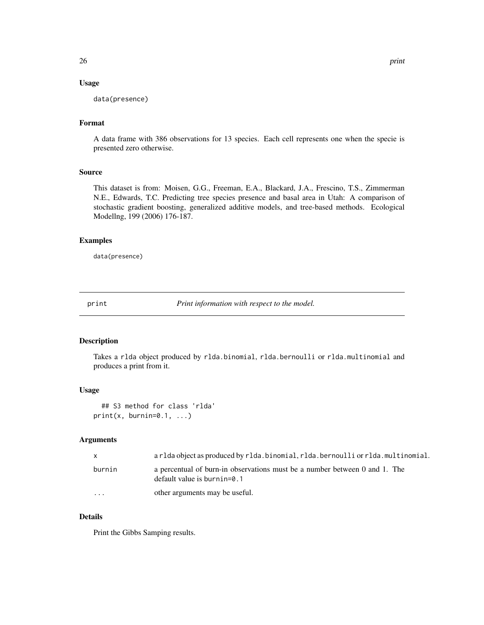# <span id="page-25-0"></span>Usage

data(presence)

# Format

A data frame with 386 observations for 13 species. Each cell represents one when the specie is presented zero otherwise.

#### Source

This dataset is from: Moisen, G.G., Freeman, E.A., Blackard, J.A., Frescino, T.S., Zimmerman N.E., Edwards, T.C. Predicting tree species presence and basal area in Utah: A comparison of stochastic gradient boosting, generalized additive models, and tree-based methods. Ecological Modellng, 199 (2006) 176-187.

# Examples

data(presence)

print *Print information with respect to the model.*

#### Description

Takes a rlda object produced by rlda.binomial, rlda.bernoulli or rlda.multinomial and produces a print from it.

#### Usage

```
## S3 method for class 'rlda'
print(x, burnin=0.1, ...)
```
#### Arguments

|                         | arlda object as produced by rlda.binomial, rlda.bernoulli or rlda.multinomial.                               |
|-------------------------|--------------------------------------------------------------------------------------------------------------|
| burnin                  | a percentual of burn-in observations must be a number between 0 and 1. The<br>default value is burnin= $0.1$ |
| $\cdot$ $\cdot$ $\cdot$ | other arguments may be useful.                                                                               |

# Details

Print the Gibbs Samping results.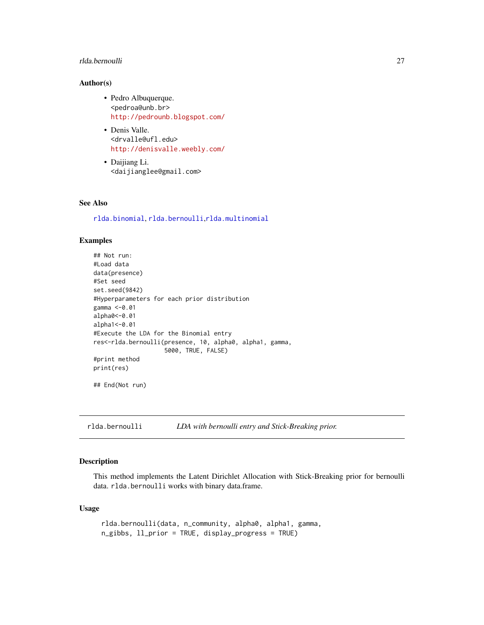# <span id="page-26-0"></span>rlda.bernoulli 27

#### Author(s)

- Pedro Albuquerque. <pedroa@unb.br> <http://pedrounb.blogspot.com/>
- Denis Valle. <drvalle@ufl.edu> <http://denisvalle.weebly.com/>
- Daijiang Li. <daijianglee@gmail.com>

# See Also

[rlda.binomial](#page-30-1), [rlda.bernoulli](#page-26-1),[rlda.multinomial](#page-39-1)

# Examples

```
## Not run:
#Load data
data(presence)
#Set seed
set.seed(9842)
#Hyperparameters for each prior distribution
gamma <-0.01
alpha0<-0.01
alpha1<-0.01
#Execute the LDA for the Binomial entry
res<-rlda.bernoulli(presence, 10, alpha0, alpha1, gamma,
                    5000, TRUE, FALSE)
#print method
print(res)
```
## End(Not run)

<span id="page-26-1"></span>rlda.bernoulli *LDA with bernoulli entry and Stick-Breaking prior.*

### Description

This method implements the Latent Dirichlet Allocation with Stick-Breaking prior for bernoulli data. rlda.bernoulli works with binary data.frame.

#### Usage

```
rlda.bernoulli(data, n_community, alpha0, alpha1, gamma,
n_gibbs, ll_prior = TRUE, display_progress = TRUE)
```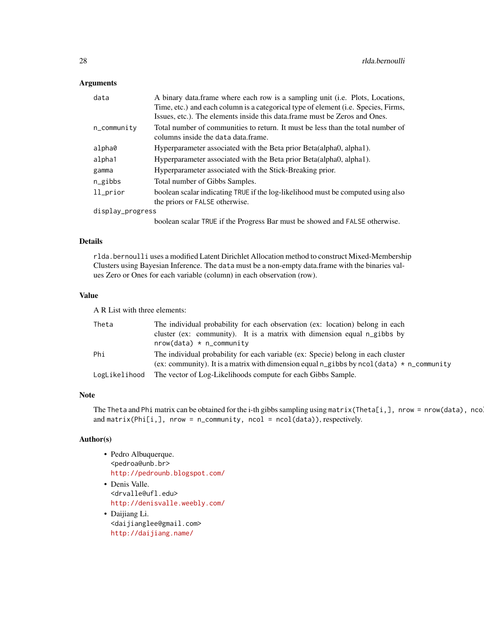#### Arguments

| data             | A binary data frame where each row is a sampling unit (i.e. Plots, Locations,                                                                                            |
|------------------|--------------------------------------------------------------------------------------------------------------------------------------------------------------------------|
|                  | Time, etc.) and each column is a categorical type of element ( <i>i.e.</i> Species, Firms,<br>Issues, etc.). The elements inside this data frame must be Zeros and Ones. |
| n_community      | Total number of communities to return. It must be less than the total number of<br>columns inside the data data frame.                                                   |
| alpha0           | Hyperparameter associated with the Beta prior Beta(alpha0, alpha1).                                                                                                      |
| alpha1           | Hyperparameter associated with the Beta prior Beta(alpha0, alpha1).                                                                                                      |
| gamma            | Hyperparameter associated with the Stick-Breaking prior.                                                                                                                 |
| n_gibbs          | Total number of Gibbs Samples.                                                                                                                                           |
| $ll\_prior$      | boolean scalar indicating TRUE if the log-likelihood must be computed using also                                                                                         |
|                  | the priors or FALSE otherwise.                                                                                                                                           |
| display_progress |                                                                                                                                                                          |
|                  | boolean scalar TRUE if the Progress Bar must be showed and FALSE otherwise.                                                                                              |

### Details

rlda.bernoulli uses a modified Latent Dirichlet Allocation method to construct Mixed-Membership Clusters using Bayesian Inference. The data must be a non-empty data.frame with the binaries values Zero or Ones for each variable (column) in each observation (row).

### Value

A R List with three elements:

| Theta         | The individual probability for each observation (ex: location) belong in each<br>cluster (ex: community). It is a matrix with dimension equal n_gibbs by |
|---------------|----------------------------------------------------------------------------------------------------------------------------------------------------------|
| Phi           | $nrow(data) * n_{community}$<br>The individual probability for each variable (ex: Specie) belong in each cluster                                         |
|               | (ex: community). It is a matrix with dimension equal n_gibbs by ncol(data) $*$ n_community                                                               |
| LogLikelihood | The vector of Log-Likelihoods compute for each Gibbs Sample.                                                                                             |

#### Note

The Theta and Phi matrix can be obtained for the i-th gibbs sampling using matrix(Theta[i,], nrow = nrow(data), nco and matrix(Phi[i,], nrow = n\_community, ncol = ncol(data)), respectively.

# Author(s)

- Pedro Albuquerque. <pedroa@unb.br> <http://pedrounb.blogspot.com/>
- Denis Valle. <drvalle@ufl.edu> <http://denisvalle.weebly.com/>
- Daijiang Li. <daijianglee@gmail.com> <http://daijiang.name/>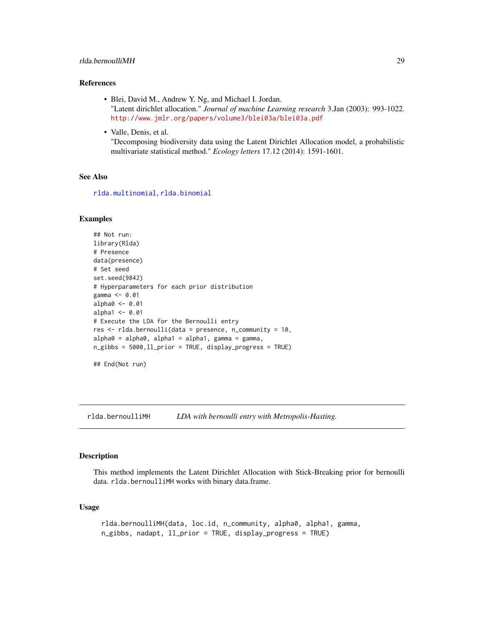#### <span id="page-28-0"></span>rlda.bernoulliMH 29

### References

- Blei, David M., Andrew Y. Ng, and Michael I. Jordan. "Latent dirichlet allocation." *Journal of machine Learning research* 3.Jan (2003): 993-1022. <http://www.jmlr.org/papers/volume3/blei03a/blei03a.pdf>
- Valle, Denis, et al.

"Decomposing biodiversity data using the Latent Dirichlet Allocation model, a probabilistic multivariate statistical method." *Ecology letters* 17.12 (2014): 1591-1601.

#### See Also

[rlda.multinomial](#page-39-1), [rlda.binomial](#page-30-1)

#### Examples

```
## Not run:
library(Rlda)
# Presence
data(presence)
# Set seed
set.seed(9842)
# Hyperparameters for each prior distribution
gamma <- 0.01
alpha0 <- 0.01
alpha1 < -0.01# Execute the LDA for the Bernoulli entry
res <- rlda.bernoulli(data = presence, n_community = 10,
alpha0 = alpha0, alpha1 = alpha1, gamma = gamma,
n_gibbs = 5000,ll_prior = TRUE, display_progress = TRUE)
```
## End(Not run)

rlda.bernoulliMH *LDA with bernoulli entry with Metropolis-Hasting.*

# **Description**

This method implements the Latent Dirichlet Allocation with Stick-Breaking prior for bernoulli data. rlda.bernoulliMH works with binary data.frame.

# Usage

```
rlda.bernoulliMH(data, loc.id, n_community, alpha0, alpha1, gamma,
n_gibbs, nadapt, ll_prior = TRUE, display_progress = TRUE)
```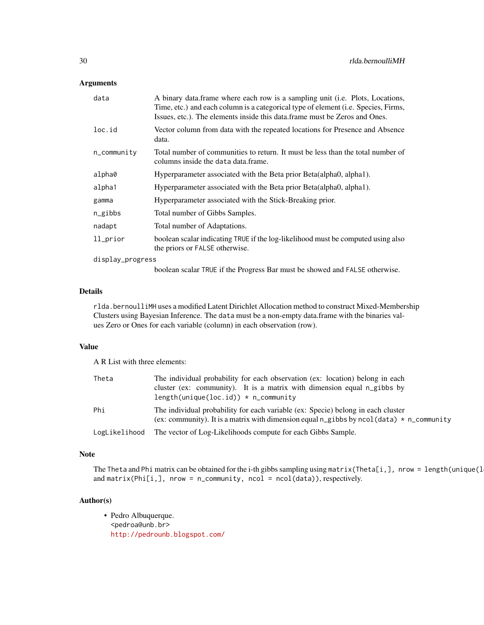# Arguments

| data                 | A binary data frame where each row is a sampling unit (i.e. Plots, Locations,<br>Time, etc.) and each column is a categorical type of element ( <i>i.e.</i> Species, Firms,<br>Issues, etc.). The elements inside this data.frame must be Zeros and Ones. |
|----------------------|-----------------------------------------------------------------------------------------------------------------------------------------------------------------------------------------------------------------------------------------------------------|
| loc.id               | Vector column from data with the repeated locations for Presence and Absence<br>data.                                                                                                                                                                     |
| $n_{\rm \_communit}$ | Total number of communities to return. It must be less than the total number of<br>columns inside the data data frame.                                                                                                                                    |
| alpha0               | Hyperparameter associated with the Beta prior Beta(alpha0, alpha1).                                                                                                                                                                                       |
| alpha1               | Hyperparameter associated with the Beta prior Beta(alpha0, alpha1).                                                                                                                                                                                       |
| gamma                | Hyperparameter associated with the Stick-Breaking prior.                                                                                                                                                                                                  |
| n_gibbs              | Total number of Gibbs Samples.                                                                                                                                                                                                                            |
| nadapt               | Total number of Adaptations.                                                                                                                                                                                                                              |
| ll_prior             | boolean scalar indicating TRUE if the log-likelihood must be computed using also<br>the priors or FALSE otherwise.                                                                                                                                        |
| display_progress     |                                                                                                                                                                                                                                                           |
|                      | boolean scalar TPUE if the Drogress Bor must be showed and EALSE otherwise                                                                                                                                                                                |

boolean scalar TRUE if the Progress Bar must be showed and FALSE otherwise.

# Details

rlda.bernoulliMH uses a modified Latent Dirichlet Allocation method to construct Mixed-Membership Clusters using Bayesian Inference. The data must be a non-empty data.frame with the binaries values Zero or Ones for each variable (column) in each observation (row).

# Value

A R List with three elements:

| Theta         | The individual probability for each observation (ex: location) belong in each                                                                                                  |
|---------------|--------------------------------------------------------------------------------------------------------------------------------------------------------------------------------|
|               | cluster (ex: community). It is a matrix with dimension equal n_gibbs by                                                                                                        |
|               | $length(unique(loc.id)) * n_{community}$                                                                                                                                       |
| Phi           | The individual probability for each variable (ex: Specie) belong in each cluster<br>(ex: community). It is a matrix with dimension equal n_gibbs by ncol(data) $*$ n_community |
| LogLikelihood | The vector of Log-Likelihoods compute for each Gibbs Sample.                                                                                                                   |

#### Note

The Theta and Phi matrix can be obtained for the i-th gibbs sampling using matrix(Theta[i,], nrow = length(unique(l and matrix(Phi[i,], nrow = n\_community, ncol = ncol(data)), respectively.

# Author(s)

• Pedro Albuquerque. <pedroa@unb.br> <http://pedrounb.blogspot.com/>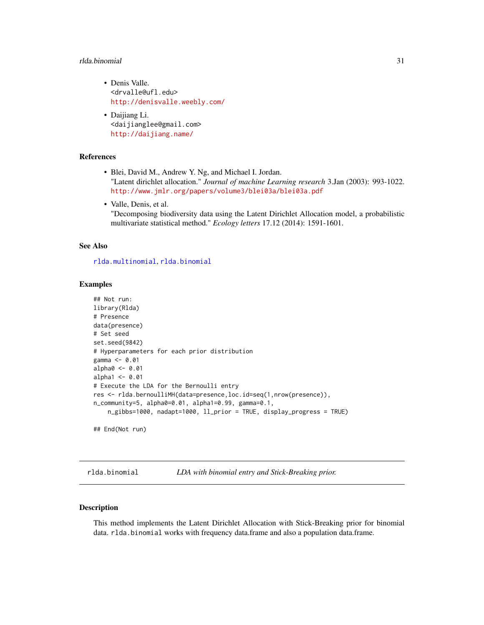#### <span id="page-30-0"></span>rlda.binomial 31

- Denis Valle. <drvalle@ufl.edu> <http://denisvalle.weebly.com/>
- Daijiang Li. <daijianglee@gmail.com> <http://daijiang.name/>

# References

- Blei, David M., Andrew Y. Ng, and Michael I. Jordan. "Latent dirichlet allocation." *Journal of machine Learning research* 3.Jan (2003): 993-1022. <http://www.jmlr.org/papers/volume3/blei03a/blei03a.pdf>
- Valle, Denis, et al. "Decomposing biodiversity data using the Latent Dirichlet Allocation model, a probabilistic multivariate statistical method." *Ecology letters* 17.12 (2014): 1591-1601.

#### See Also

[rlda.multinomial](#page-39-1), [rlda.binomial](#page-30-1)

#### Examples

```
## Not run:
library(Rlda)
# Presence
data(presence)
# Set seed
set.seed(9842)
# Hyperparameters for each prior distribution
gamma <- 0.01
alpha0 <- 0.01
alpha1 < -0.01# Execute the LDA for the Bernoulli entry
res <- rlda.bernoulliMH(data=presence,loc.id=seq(1,nrow(presence)),
n_community=5, alpha0=0.01, alpha1=0.99, gamma=0.1,
    n_gibbs=1000, nadapt=1000, ll_prior = TRUE, display_progress = TRUE)
## End(Not run)
```
<span id="page-30-1"></span>rlda.binomial *LDA with binomial entry and Stick-Breaking prior.*

# **Description**

This method implements the Latent Dirichlet Allocation with Stick-Breaking prior for binomial data. rlda.binomial works with frequency data.frame and also a population data.frame.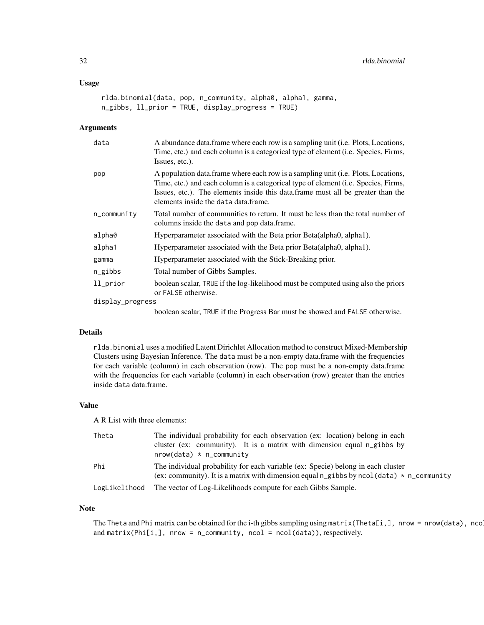# Usage

```
rlda.binomial(data, pop, n_community, alpha0, alpha1, gamma,
n_gibbs, ll_prior = TRUE, display_progress = TRUE)
```
# Arguments

| data                 | A abundance data frame where each row is a sampling unit (i.e. Plots, Locations,<br>Time, etc.) and each column is a categorical type of element (i.e. Species, Firms,<br>Issues, etc.).                                                                                                           |
|----------------------|----------------------------------------------------------------------------------------------------------------------------------------------------------------------------------------------------------------------------------------------------------------------------------------------------|
| pop                  | A population data.frame where each row is a sampling unit (i.e. Plots, Locations,<br>Time, etc.) and each column is a categorical type of element (i.e. Species, Firms,<br>Issues, etc.). The elements inside this data frame must all be greater than the<br>elements inside the data data frame. |
| $n_{\rm \_communit}$ | Total number of communities to return. It must be less than the total number of<br>columns inside the data and pop data.frame.                                                                                                                                                                     |
| alpha0               | Hyperparameter associated with the Beta prior Beta(alpha0, alpha1).                                                                                                                                                                                                                                |
| alpha1               | Hyperparameter associated with the Beta prior Beta (alpha0, alpha1).                                                                                                                                                                                                                               |
| gamma                | Hyperparameter associated with the Stick-Breaking prior.                                                                                                                                                                                                                                           |
| $n$ gibbs            | Total number of Gibbs Samples.                                                                                                                                                                                                                                                                     |
| ll_prior             | boolean scalar, TRUE if the log-likelihood must be computed using also the priors<br>or FALSE otherwise.                                                                                                                                                                                           |
| display_progress     |                                                                                                                                                                                                                                                                                                    |
|                      | boolean scalar, TRUE if the Progress Bar must be showed and FALSE otherwise.                                                                                                                                                                                                                       |

#### Details

rlda.binomial uses a modified Latent Dirichlet Allocation method to construct Mixed-Membership Clusters using Bayesian Inference. The data must be a non-empty data.frame with the frequencies for each variable (column) in each observation (row). The pop must be a non-empty data.frame with the frequencies for each variable (column) in each observation (row) greater than the entries inside data data.frame.

# Value

A R List with three elements:

| Theta         | The individual probability for each observation (ex: location) belong in each<br>cluster (ex: community). It is a matrix with dimension equal n_gibbs by                       |
|---------------|--------------------------------------------------------------------------------------------------------------------------------------------------------------------------------|
|               | $nrow(data) * n_{community}$                                                                                                                                                   |
| Phi           | The individual probability for each variable (ex: Specie) belong in each cluster<br>(ex: community). It is a matrix with dimension equal n_gibbs by ncol(data) $*$ n_community |
| LogLikelihood | The vector of Log-Likelihoods compute for each Gibbs Sample.                                                                                                                   |

# Note

The Theta and Phi matrix can be obtained for the i-th gibbs sampling using matrix(Theta[i,], nrow = nrow(data), nco and matrix(Phi[i,], nrow = n\_community, ncol = ncol(data)), respectively.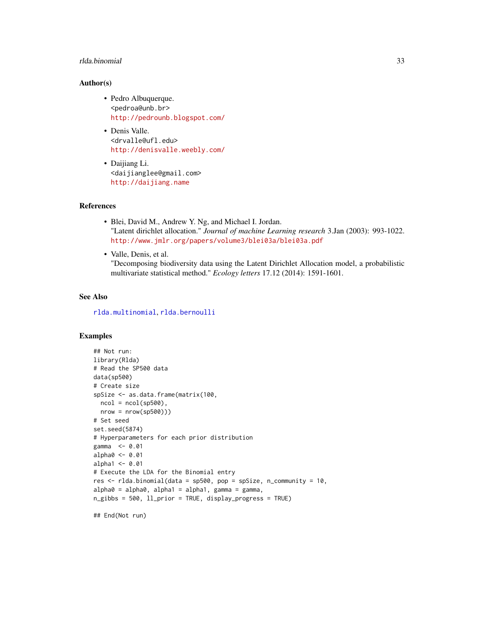#### <span id="page-32-0"></span>rlda.binomial 33

#### Author(s)

- Pedro Albuquerque. <pedroa@unb.br> <http://pedrounb.blogspot.com/>
- Denis Valle. <drvalle@ufl.edu> <http://denisvalle.weebly.com/>
- Daijiang Li. <daijianglee@gmail.com> <http://daijiang.name>

#### References

- Blei, David M., Andrew Y. Ng, and Michael I. Jordan. "Latent dirichlet allocation." *Journal of machine Learning research* 3.Jan (2003): 993-1022. <http://www.jmlr.org/papers/volume3/blei03a/blei03a.pdf>
- Valle, Denis, et al.

"Decomposing biodiversity data using the Latent Dirichlet Allocation model, a probabilistic multivariate statistical method." *Ecology letters* 17.12 (2014): 1591-1601.

# See Also

[rlda.multinomial](#page-39-1), [rlda.bernoulli](#page-26-1)

# Examples

```
## Not run:
library(Rlda)
# Read the SP500 data
data(sp500)
# Create size
spSize <- as.data.frame(matrix(100,
  ncol = ncol(sp500),
  nrow = nrow(sp500)))# Set seed
set.seed(5874)
# Hyperparameters for each prior distribution
gamma <- 0.01
alpha0 <- 0.01
alpha1 <- 0.01
# Execute the LDA for the Binomial entry
res \le rlda.binomial(data = sp500, pop = spSize, n_community = 10,
alpha0 = alpha0, alpha1 = alpha1, gamma1 = gainma,
n_gibbs = 500, ll_prior = TRUE, display_progress = TRUE)
```
## End(Not run)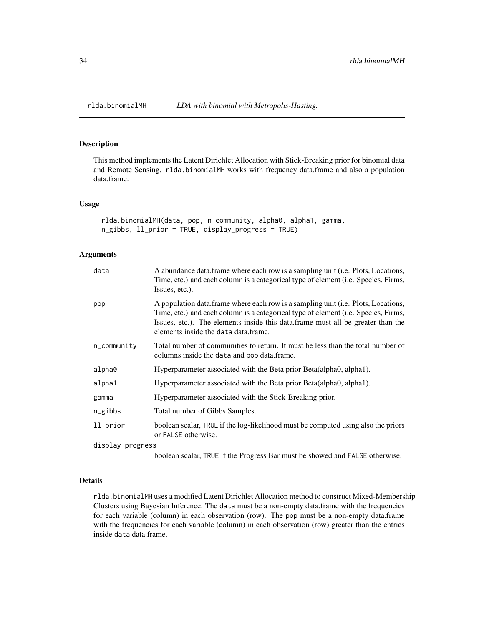<span id="page-33-0"></span>

# Description

This method implements the Latent Dirichlet Allocation with Stick-Breaking prior for binomial data and Remote Sensing. rlda.binomialMH works with frequency data.frame and also a population data.frame.

# Usage

```
rlda.binomialMH(data, pop, n_community, alpha0, alpha1, gamma,
n_gibbs, ll_prior = TRUE, display_progress = TRUE)
```
#### Arguments

| data                     | A abundance data frame where each row is a sampling unit (i.e. Plots, Locations,<br>Time, etc.) and each column is a categorical type of element (i.e. Species, Firms,<br>Issues, etc.).                                                                                                            |
|--------------------------|-----------------------------------------------------------------------------------------------------------------------------------------------------------------------------------------------------------------------------------------------------------------------------------------------------|
| pop                      | A population data. frame where each row is a sampling unit (i.e. Plots, Locations,<br>Time, etc.) and each column is a categorical type of element (i.e. Species, Firms,<br>Issues, etc.). The elements inside this data frame must all be greater than the<br>elements inside the data data.frame. |
| $n_{\text{-}}$ community | Total number of communities to return. It must be less than the total number of<br>columns inside the data and pop data.frame.                                                                                                                                                                      |
| alpha0                   | Hyperparameter associated with the Beta prior Beta(alpha0, alpha1).                                                                                                                                                                                                                                 |
| alpha1                   | Hyperparameter associated with the Beta prior Beta(alpha0, alpha1).                                                                                                                                                                                                                                 |
| gamma                    | Hyperparameter associated with the Stick-Breaking prior.                                                                                                                                                                                                                                            |
| $n$ gibbs                | Total number of Gibbs Samples.                                                                                                                                                                                                                                                                      |
| ll_prior                 | boolean scalar, TRUE if the log-likelihood must be computed using also the priors<br>or FALSE otherwise.                                                                                                                                                                                            |
| display_progress         |                                                                                                                                                                                                                                                                                                     |
|                          | boolean scalar, TRUE if the Progress Bar must be showed and FALSE otherwise.                                                                                                                                                                                                                        |

### Details

rlda.binomialMH uses a modified Latent Dirichlet Allocation method to construct Mixed-Membership Clusters using Bayesian Inference. The data must be a non-empty data.frame with the frequencies for each variable (column) in each observation (row). The pop must be a non-empty data.frame with the frequencies for each variable (column) in each observation (row) greater than the entries inside data data.frame.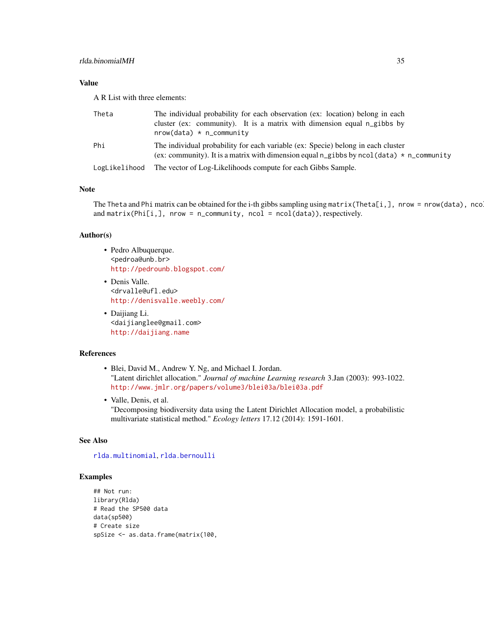# <span id="page-34-0"></span>Value

A R List with three elements:

| Theta         | The individual probability for each observation (ex: location) belong in each<br>cluster (ex: community). It is a matrix with dimension equal n_gibbs by<br>$nrow(data) * n_{community}$ |
|---------------|------------------------------------------------------------------------------------------------------------------------------------------------------------------------------------------|
| Phi           | The individual probability for each variable (ex: Specie) belong in each cluster<br>(ex: community). It is a matrix with dimension equal n_gibbs by ncol(data) $*$ n_community           |
| LogLikelihood | The vector of Log-Likelihoods compute for each Gibbs Sample.                                                                                                                             |

# Note

The Theta and Phi matrix can be obtained for the i-th gibbs sampling using matrix(Theta[i,], nrow = nrow(data), nco and matrix(Phi[i,], nrow = n\_community, ncol = ncol(data)), respectively.

#### Author(s)

- Pedro Albuquerque. <pedroa@unb.br> <http://pedrounb.blogspot.com/>
- Denis Valle. <drvalle@ufl.edu> <http://denisvalle.weebly.com/>
- Daijiang Li. <daijianglee@gmail.com> <http://daijiang.name>

## References

- Blei, David M., Andrew Y. Ng, and Michael I. Jordan. "Latent dirichlet allocation." *Journal of machine Learning research* 3.Jan (2003): 993-1022. <http://www.jmlr.org/papers/volume3/blei03a/blei03a.pdf>
- Valle, Denis, et al. "Decomposing biodiversity data using the Latent Dirichlet Allocation model, a probabilistic multivariate statistical method." *Ecology letters* 17.12 (2014): 1591-1601.

#### See Also

[rlda.multinomial](#page-39-1), [rlda.bernoulli](#page-26-1)

#### Examples

```
## Not run:
library(Rlda)
# Read the SP500 data
data(sp500)
# Create size
spSize <- as.data.frame(matrix(100,
```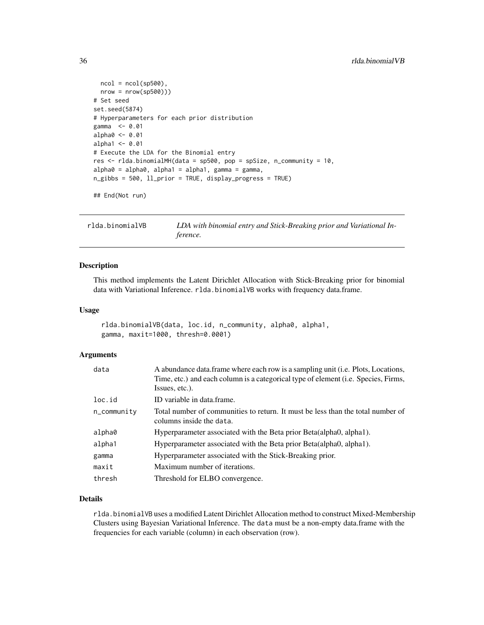```
ncol = ncol(sp500),
  nrow = nrow(sp500)))# Set seed
set.seed(5874)
# Hyperparameters for each prior distribution
gamma <- 0.01
alpha0 <- 0.01
alpha1 <- 0.01
# Execute the LDA for the Binomial entry
res <- rlda.binomialMH(data = sp500, pop = spSize, n_community = 10,
alpha0 = alpha0, alpha1 = alpha1, gamma1 = gainma,
n_gibbs = 500, ll_prior = TRUE, display_progress = TRUE)
```
## End(Not run)

rlda.binomialVB *LDA with binomial entry and Stick-Breaking prior and Variational Inference.*

#### Description

This method implements the Latent Dirichlet Allocation with Stick-Breaking prior for binomial data with Variational Inference. rlda.binomialVB works with frequency data.frame.

#### Usage

```
rlda.binomialVB(data, loc.id, n_community, alpha0, alpha1,
gamma, maxit=1000, thresh=0.0001)
```
#### Arguments

| data        | A abundance data.frame where each row is a sampling unit (i.e. Plots, Locations,<br>Time, etc.) and each column is a categorical type of element (i.e. Species, Firms, |
|-------------|------------------------------------------------------------------------------------------------------------------------------------------------------------------------|
|             | Issues, etc.).                                                                                                                                                         |
| loc.id      | ID variable in data.frame.                                                                                                                                             |
| n_community | Total number of communities to return. It must be less than the total number of<br>columns inside the data.                                                            |
| alpha0      | Hyperparameter associated with the Beta prior Beta(alpha0, alpha1).                                                                                                    |
| alpha1      | Hyperparameter associated with the Beta prior Beta(alpha0, alpha1).                                                                                                    |
| gamma       | Hyperparameter associated with the Stick-Breaking prior.                                                                                                               |
| maxit       | Maximum number of iterations.                                                                                                                                          |
| thresh      | Threshold for ELBO convergence.                                                                                                                                        |

# Details

rlda.binomialVB uses a modified Latent Dirichlet Allocation method to construct Mixed-Membership Clusters using Bayesian Variational Inference. The data must be a non-empty data.frame with the frequencies for each variable (column) in each observation (row).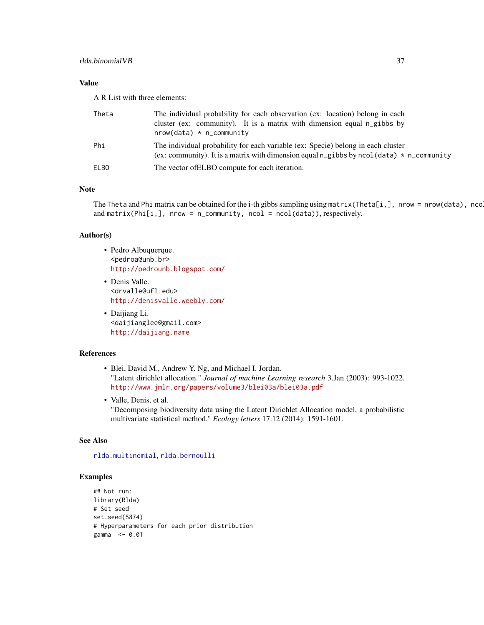# <span id="page-36-0"></span>Value

A R List with three elements:

| Theta       | The individual probability for each observation (ex: location) belong in each<br>cluster (ex: community). It is a matrix with dimension equal n_gibbs by<br>$nrow(data) * n_{community}$ |
|-------------|------------------------------------------------------------------------------------------------------------------------------------------------------------------------------------------|
| Phi         | The individual probability for each variable (ex: Specie) belong in each cluster<br>(ex: community). It is a matrix with dimension equal n_gibbs by ncol(data) $*$ n_community           |
| <b>ELBO</b> | The vector of ELBO compute for each iteration.                                                                                                                                           |

# Note

The Theta and Phi matrix can be obtained for the i-th gibbs sampling using matrix(Theta[i,], nrow = nrow(data), nco and matrix(Phi[i,], nrow = n\_community, ncol = ncol(data)), respectively.

#### Author(s)

- Pedro Albuquerque. <pedroa@unb.br> <http://pedrounb.blogspot.com/>
- Denis Valle. <drvalle@ufl.edu> <http://denisvalle.weebly.com/>
- Daijiang Li. <daijianglee@gmail.com> <http://daijiang.name>

#### References

- Blei, David M., Andrew Y. Ng, and Michael I. Jordan. "Latent dirichlet allocation." *Journal of machine Learning research* 3.Jan (2003): 993-1022. <http://www.jmlr.org/papers/volume3/blei03a/blei03a.pdf>
- Valle, Denis, et al. "Decomposing biodiversity data using the Latent Dirichlet Allocation model, a probabilistic multivariate statistical method." *Ecology letters* 17.12 (2014): 1591-1601.

# See Also

[rlda.multinomial](#page-39-1), [rlda.bernoulli](#page-26-1)

#### Examples

```
## Not run:
library(Rlda)
# Set seed
set.seed(5874)
# Hyperparameters for each prior distribution
gamma <- 0.01
```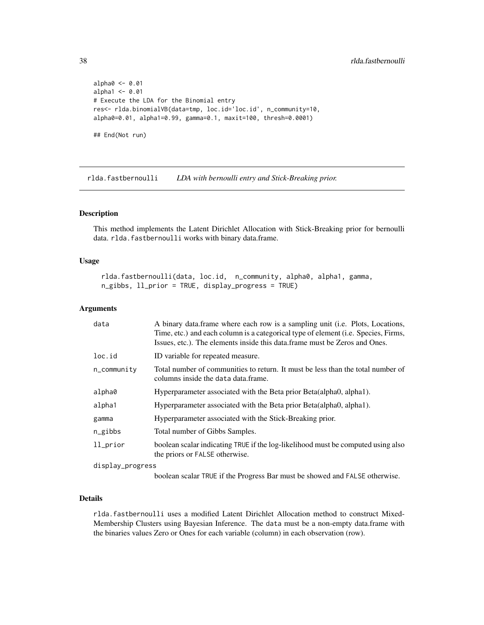```
alpha0 <- 0.01
alpha1 <- 0.01
# Execute the LDA for the Binomial entry
res<- rlda.binomialVB(data=tmp, loc.id='loc.id', n_community=10,
alpha0=0.01, alpha1=0.99, gamma=0.1, maxit=100, thresh=0.0001)
## End(Not run)
```
rlda.fastbernoulli *LDA with bernoulli entry and Stick-Breaking prior.*

# Description

This method implements the Latent Dirichlet Allocation with Stick-Breaking prior for bernoulli data. rlda.fastbernoulli works with binary data.frame.

# Usage

```
rlda.fastbernoulli(data, loc.id, n_community, alpha0, alpha1, gamma,
n_gibbs, ll_prior = TRUE, display_progress = TRUE)
```
# Arguments

| data              | A binary data frame where each row is a sampling unit (i.e. Plots, Locations,<br>Time, etc.) and each column is a categorical type of element (i.e. Species, Firms,<br>Issues, etc.). The elements inside this data.frame must be Zeros and Ones. |
|-------------------|---------------------------------------------------------------------------------------------------------------------------------------------------------------------------------------------------------------------------------------------------|
| loc.id            | ID variable for repeated measure.                                                                                                                                                                                                                 |
| $n_{c}$ community | Total number of communities to return. It must be less than the total number of<br>columns inside the data data.frame.                                                                                                                            |
| alpha0            | Hyperparameter associated with the Beta prior Beta (alpha0, alpha1).                                                                                                                                                                              |
| alpha1            | Hyperparameter associated with the Beta prior Beta(alpha0, alpha1).                                                                                                                                                                               |
| gamma             | Hyperparameter associated with the Stick-Breaking prior.                                                                                                                                                                                          |
| $n$ gibbs         | Total number of Gibbs Samples.                                                                                                                                                                                                                    |
| ll_prior          | boolean scalar indicating TRUE if the log-likelihood must be computed using also<br>the priors or FALSE otherwise.                                                                                                                                |
| display_progress  |                                                                                                                                                                                                                                                   |

boolean scalar TRUE if the Progress Bar must be showed and FALSE otherwise.

#### Details

rlda.fastbernoulli uses a modified Latent Dirichlet Allocation method to construct Mixed-Membership Clusters using Bayesian Inference. The data must be a non-empty data.frame with the binaries values Zero or Ones for each variable (column) in each observation (row).

<span id="page-37-0"></span>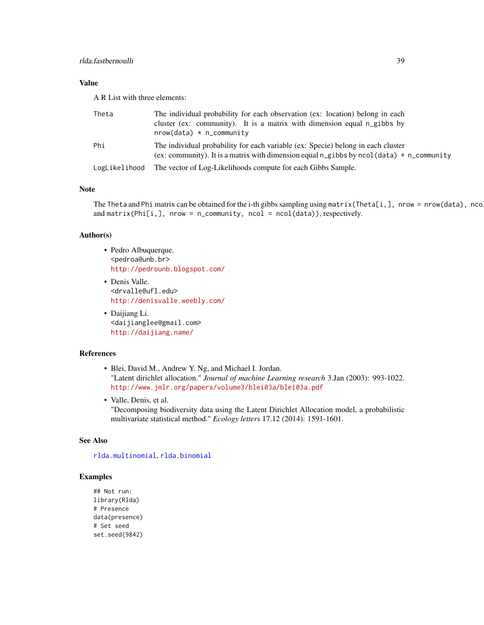# <span id="page-38-0"></span>Value

A R List with three elements:

| Theta         | The individual probability for each observation (ex: location) belong in each<br>cluster (ex: community). It is a matrix with dimension equal n_gibbs by<br>$nrow(data) * n_{community}$ |
|---------------|------------------------------------------------------------------------------------------------------------------------------------------------------------------------------------------|
| Phi           | The individual probability for each variable (ex: Specie) belong in each cluster<br>(ex: community). It is a matrix with dimension equal n_gibbs by ncol(data) $*$ n_community           |
| LogLikelihood | The vector of Log-Likelihoods compute for each Gibbs Sample.                                                                                                                             |

# Note

The Theta and Phi matrix can be obtained for the i-th gibbs sampling using matrix(Theta[i,], nrow = nrow(data), nco and matrix(Phi[i,], nrow = n\_community, ncol = ncol(data)), respectively.

#### Author(s)

- Pedro Albuquerque. <pedroa@unb.br> <http://pedrounb.blogspot.com/>
- Denis Valle. <drvalle@ufl.edu> <http://denisvalle.weebly.com/>
- Daijiang Li. <daijianglee@gmail.com> <http://daijiang.name/>

## References

- Blei, David M., Andrew Y. Ng, and Michael I. Jordan. "Latent dirichlet allocation." *Journal of machine Learning research* 3.Jan (2003): 993-1022. <http://www.jmlr.org/papers/volume3/blei03a/blei03a.pdf>
- Valle, Denis, et al. "Decomposing biodiversity data using the Latent Dirichlet Allocation model, a probabilistic multivariate statistical method." *Ecology letters* 17.12 (2014): 1591-1601.

#### See Also

[rlda.multinomial](#page-39-1), [rlda.binomial](#page-30-1)

#### Examples

## Not run: library(Rlda) # Presence data(presence) # Set seed set.seed(9842)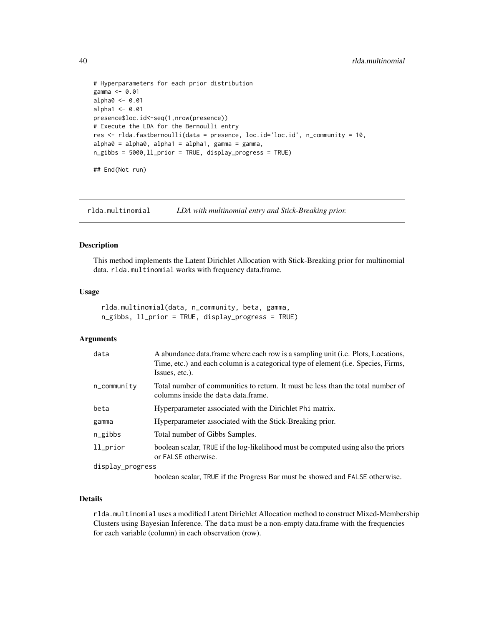```
# Hyperparameters for each prior distribution
gamma <- 0.01
alpha0 <- 0.01
alpha1 < -0.01presence$loc.id<-seq(1,nrow(presence))
# Execute the LDA for the Bernoulli entry
res <- rlda.fastbernoulli(data = presence, loc.id='loc.id', n_community = 10,
alpha0 = alpha0, alpha1 = alpha1, gamma = gamma,
n_gibbs = 5000,ll_prior = TRUE, display_progress = TRUE)
## End(Not run)
```
<span id="page-39-1"></span>rlda.multinomial *LDA with multinomial entry and Stick-Breaking prior.*

#### Description

This method implements the Latent Dirichlet Allocation with Stick-Breaking prior for multinomial data. rlda.multinomial works with frequency data.frame.

#### Usage

```
rlda.multinomial(data, n_community, beta, gamma,
n_gibbs, ll_prior = TRUE, display_progress = TRUE)
```
#### Arguments

| data                 | A abundance data.frame where each row is a sampling unit ( <i>i.e. Plots, Locations,</i><br>Time, etc.) and each column is a categorical type of element ( <i>i.e.</i> Species, Firms,<br>Issues, etc.). |
|----------------------|----------------------------------------------------------------------------------------------------------------------------------------------------------------------------------------------------------|
| $n_{\rm \_communit}$ | Total number of communities to return. It must be less than the total number of<br>columns inside the data data frame.                                                                                   |
| beta                 | Hyperparameter associated with the Dirichlet Phi matrix.                                                                                                                                                 |
| gamma                | Hyperparameter associated with the Stick-Breaking prior.                                                                                                                                                 |
| n_gibbs              | Total number of Gibbs Samples.                                                                                                                                                                           |
| $11$ prior           | boolean scalar, TRUE if the log-likelihood must be computed using also the priors<br>or FALSE otherwise.                                                                                                 |
| display_progress     |                                                                                                                                                                                                          |
|                      | $P_1$ 1 1 1 1 $P_1$                                                                                                                                                                                      |

boolean scalar, TRUE if the Progress Bar must be showed and FALSE otherwise.

# Details

rlda.multinomial uses a modified Latent Dirichlet Allocation method to construct Mixed-Membership Clusters using Bayesian Inference. The data must be a non-empty data.frame with the frequencies for each variable (column) in each observation (row).

<span id="page-39-0"></span>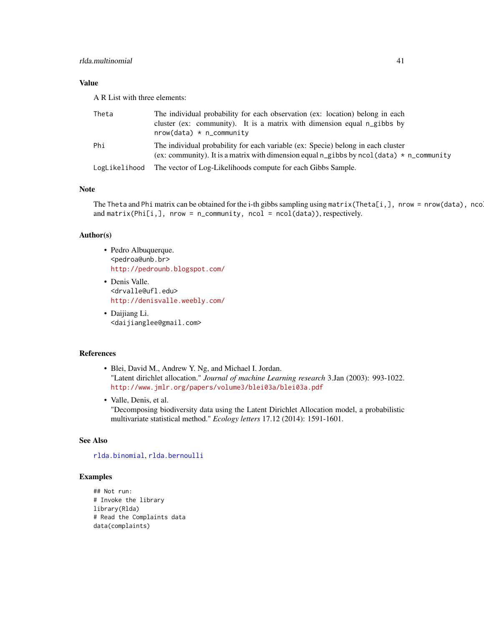# <span id="page-40-0"></span>Value

A R List with three elements:

| Theta         | The individual probability for each observation (ex: location) belong in each<br>cluster (ex: community). It is a matrix with dimension equal n_gibbs by<br>$nrow(data) * n_{community}$ |
|---------------|------------------------------------------------------------------------------------------------------------------------------------------------------------------------------------------|
| Phi           | The individual probability for each variable (ex: Specie) belong in each cluster<br>(ex: community). It is a matrix with dimension equal n_gibbs by ncol(data) $*$ n_community           |
| LogLikelihood | The vector of Log-Likelihoods compute for each Gibbs Sample.                                                                                                                             |

# Note

The Theta and Phi matrix can be obtained for the i-th gibbs sampling using matrix(Theta[i,], nrow = nrow(data), nco and matrix(Phi[i,], nrow = n\_community, ncol = ncol(data)), respectively.

#### Author(s)

- Pedro Albuquerque. <pedroa@unb.br> <http://pedrounb.blogspot.com/>
- Denis Valle. <drvalle@ufl.edu> <http://denisvalle.weebly.com/>
- Daijiang Li. <daijianglee@gmail.com>

## References

- Blei, David M., Andrew Y. Ng, and Michael I. Jordan. "Latent dirichlet allocation." *Journal of machine Learning research* 3.Jan (2003): 993-1022. <http://www.jmlr.org/papers/volume3/blei03a/blei03a.pdf>
- Valle, Denis, et al. "Decomposing biodiversity data using the Latent Dirichlet Allocation model, a probabilistic multivariate statistical method." *Ecology letters* 17.12 (2014): 1591-1601.

# See Also

[rlda.binomial](#page-30-1), [rlda.bernoulli](#page-26-1)

#### Examples

```
## Not run:
# Invoke the library
library(Rlda)
# Read the Complaints data
data(complaints)
```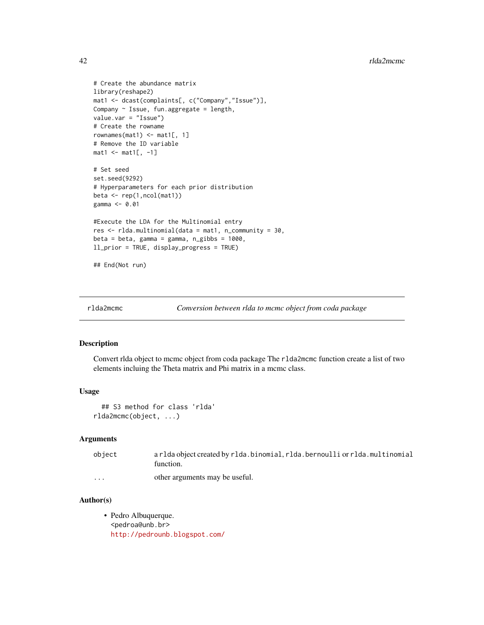```
# Create the abundance matrix
library(reshape2)
mat1 <- dcast(complaints[, c("Company","Issue")],
Company \sim Issue, fun.aggregate = length,
value.var = "Issue")
# Create the rowname
rownames(mat1) \leq mat1[, 1]
# Remove the ID variable
mat1 <- mat1[, -1]
# Set seed
set.seed(9292)
# Hyperparameters for each prior distribution
beta \leftarrow rep(1, ncol(mat1))gamma <- 0.01
#Execute the LDA for the Multinomial entry
res <- rlda.multinomial(data = mat1, n_community = 30,
beta = beta, gamma = gamma, n_gibbs = 1000,
ll_prior = TRUE, display_progress = TRUE)
## End(Not run)
```

```
rlda2mcmc Conversion between rlda to mcmc object from coda package
```
#### Description

Convert rlda object to mcmc object from coda package The rlda2mcmc function create a list of two elements incluing the Theta matrix and Phi matrix in a mcmc class.

# Usage

```
## S3 method for class 'rlda'
rlda2mcmc(object, ...)
```
#### Arguments

| object               | arlda object created by rlda.binomial, rlda.bernoulli or rlda.multinomial<br>function. |
|----------------------|----------------------------------------------------------------------------------------|
| $\ddot{\phantom{0}}$ | other arguments may be useful.                                                         |

### Author(s)

• Pedro Albuquerque. <pedroa@unb.br> <http://pedrounb.blogspot.com/>

<span id="page-41-0"></span>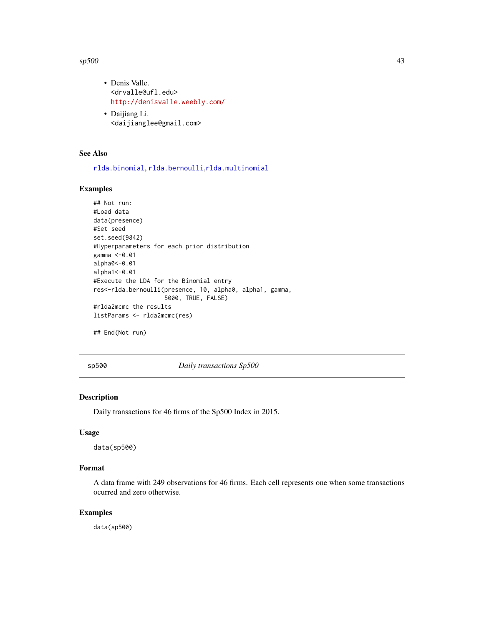#### <span id="page-42-0"></span> $\epsilon$ sp500 43

- Denis Valle. <drvalle@ufl.edu> <http://denisvalle.weebly.com/>
- Daijiang Li. <daijianglee@gmail.com>

# See Also

[rlda.binomial](#page-30-1), [rlda.bernoulli](#page-26-1),[rlda.multinomial](#page-39-1)

# Examples

```
## Not run:
#Load data
data(presence)
#Set seed
set.seed(9842)
#Hyperparameters for each prior distribution
gamma <-0.01
alpha0<-0.01
alpha1<-0.01
#Execute the LDA for the Binomial entry
res<-rlda.bernoulli(presence, 10, alpha0, alpha1, gamma,
                    5000, TRUE, FALSE)
#rlda2mcmc the results
listParams <- rlda2mcmc(res)
```
## End(Not run)

sp500 *Daily transactions Sp500*

# Description

Daily transactions for 46 firms of the Sp500 Index in 2015.

#### Usage

data(sp500)

#### Format

A data frame with 249 observations for 46 firms. Each cell represents one when some transactions ocurred and zero otherwise.

# Examples

data(sp500)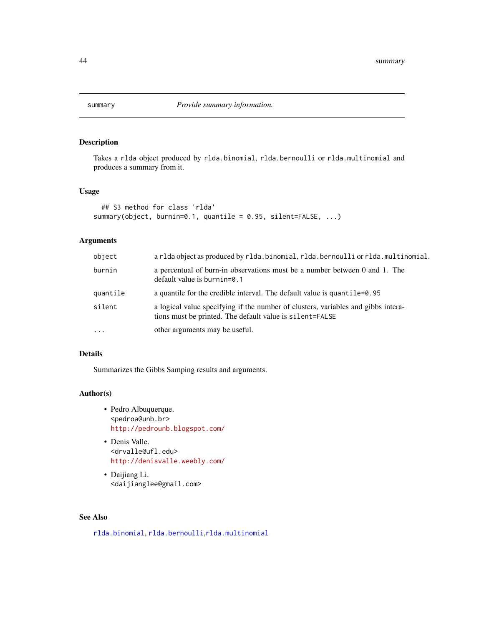<span id="page-43-0"></span>

# Description

Takes a rlda object produced by rlda.binomial, rlda.bernoulli or rlda.multinomial and produces a summary from it.

# Usage

```
## S3 method for class 'rlda'
summary(object, burnin=0.1, quantile = 0.95, silent=FALSE, ...)
```
# Arguments

| object   | arlda object as produced by rlda.binomial, rlda.bernoulli or rlda.multinomial.                                                                |
|----------|-----------------------------------------------------------------------------------------------------------------------------------------------|
| burnin   | a percentual of burn-in observations must be a number between 0 and 1. The<br>default value is burnin=0.1                                     |
| quantile | a quantile for the credible interval. The default value is quantile=0.95                                                                      |
| silent   | a logical value specifying if the number of clusters, variables and gibbs intera-<br>tions must be printed. The default value is silent=FALSE |
| $\cdots$ | other arguments may be useful.                                                                                                                |

# Details

Summarizes the Gibbs Samping results and arguments.

#### Author(s)

- Pedro Albuquerque. <pedroa@unb.br> <http://pedrounb.blogspot.com/>
- Denis Valle. <drvalle@ufl.edu> <http://denisvalle.weebly.com/>
- Daijiang Li. <daijianglee@gmail.com>

# See Also

[rlda.binomial](#page-30-1), [rlda.bernoulli](#page-26-1),[rlda.multinomial](#page-39-1)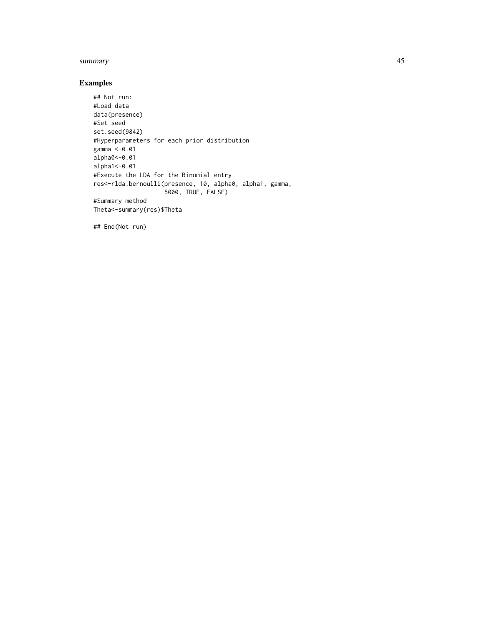#### summary and the state of the state of the state of the state of the state of the state of the state of the state of the state of the state of the state of the state of the state of the state of the state of the state of th

# Examples

```
## Not run:
#Load data
data(presence)
#Set seed
set.seed(9842)
#Hyperparameters for each prior distribution
gamma <-0.01
alpha0<-0.01
alpha1<-0.01
#Execute the LDA for the Binomial entry
res<-rlda.bernoulli(presence, 10, alpha0, alpha1, gamma,
                   5000, TRUE, FALSE)
#Summary method
Theta<-summary(res)$Theta
```
## End(Not run)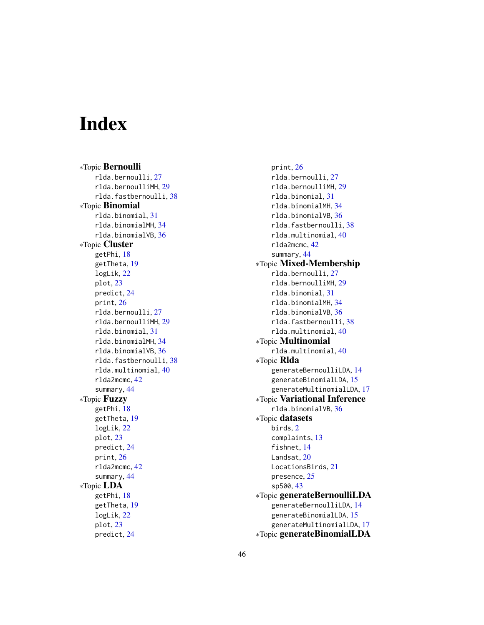# <span id="page-45-0"></span>Index

∗Topic Bernoulli rlda.bernoulli, [27](#page-26-0) rlda.bernoulliMH, [29](#page-28-0) rlda.fastbernoulli, [38](#page-37-0) ∗Topic Binomial rlda.binomial, [31](#page-30-0) rlda.binomialMH, [34](#page-33-0) rlda.binomialVB, [36](#page-35-0) ∗Topic Cluster getPhi, [18](#page-17-0) getTheta, [19](#page-18-0) logLik, [22](#page-21-0) plot, [23](#page-22-0) predict, [24](#page-23-0) print, [26](#page-25-0) rlda.bernoulli, [27](#page-26-0) rlda.bernoulliMH, [29](#page-28-0) rlda.binomial, [31](#page-30-0) rlda.binomialMH, [34](#page-33-0) rlda.binomialVB, [36](#page-35-0) rlda.fastbernoulli, [38](#page-37-0) rlda.multinomial, [40](#page-39-0) rlda2mcmc, [42](#page-41-0) summary, [44](#page-43-0) ∗Topic Fuzzy getPhi, [18](#page-17-0) getTheta, [19](#page-18-0) logLik, [22](#page-21-0) plot, [23](#page-22-0) predict, [24](#page-23-0) print, [26](#page-25-0) rlda2mcmc, [42](#page-41-0) summary, [44](#page-43-0) ∗Topic LDA getPhi, [18](#page-17-0) getTheta, [19](#page-18-0) logLik, [22](#page-21-0) plot, [23](#page-22-0) predict, [24](#page-23-0)

print, [26](#page-25-0) rlda.bernoulli, [27](#page-26-0) rlda.bernoulliMH, [29](#page-28-0) rlda.binomial, [31](#page-30-0) rlda.binomialMH, [34](#page-33-0) rlda.binomialVB, [36](#page-35-0) rlda.fastbernoulli, [38](#page-37-0) rlda.multinomial, [40](#page-39-0) rlda2mcmc, [42](#page-41-0) summary, [44](#page-43-0) ∗Topic Mixed-Membership rlda.bernoulli, [27](#page-26-0) rlda.bernoulliMH, [29](#page-28-0) rlda.binomial, [31](#page-30-0) rlda.binomialMH, [34](#page-33-0) rlda.binomialVB, [36](#page-35-0) rlda.fastbernoulli, [38](#page-37-0) rlda.multinomial, [40](#page-39-0) ∗Topic Multinomial rlda.multinomial, [40](#page-39-0) ∗Topic Rlda generateBernoulliLDA, [14](#page-13-0) generateBinomialLDA, [15](#page-14-0) generateMultinomialLDA, [17](#page-16-0) ∗Topic Variational Inference rlda.binomialVB, [36](#page-35-0) ∗Topic datasets birds, [2](#page-1-0) complaints, [13](#page-12-0) fishnet, [14](#page-13-0) Landsat, [20](#page-19-0) LocationsBirds, [21](#page-20-0) presence, [25](#page-24-0) sp500, [43](#page-42-0) ∗Topic generateBernoulliLDA generateBernoulliLDA, [14](#page-13-0) generateBinomialLDA, [15](#page-14-0) generateMultinomialLDA, [17](#page-16-0) ∗Topic generateBinomialLDA